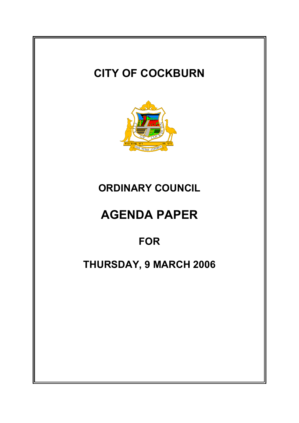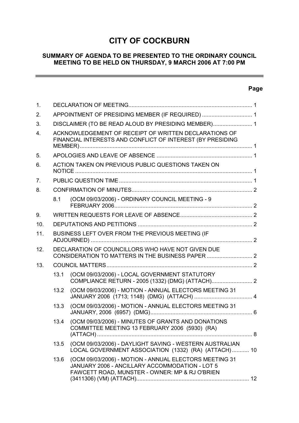# **CITY OF COCKBURN**

# **SUMMARY OF AGENDA TO BE PRESENTED TO THE ORDINARY COUNCIL MEETING TO BE HELD ON THURSDAY, 9 MARCH 2006 AT 7:00 PM**

# **Page**

 $\overline{\phantom{0}}$ 

| 1.             |                                                                                                                     |                                                                                                                                                            |  |  |  |  |
|----------------|---------------------------------------------------------------------------------------------------------------------|------------------------------------------------------------------------------------------------------------------------------------------------------------|--|--|--|--|
| 2.             | APPOINTMENT OF PRESIDING MEMBER (IF REQUIRED)  1                                                                    |                                                                                                                                                            |  |  |  |  |
| 3.             |                                                                                                                     | DISCLAIMER (TO BE READ ALOUD BY PRESIDING MEMBER) 1                                                                                                        |  |  |  |  |
| 4.             | ACKNOWLEDGEMENT OF RECEIPT OF WRITTEN DECLARATIONS OF<br>FINANCIAL INTERESTS AND CONFLICT OF INTEREST (BY PRESIDING |                                                                                                                                                            |  |  |  |  |
| 5.             |                                                                                                                     |                                                                                                                                                            |  |  |  |  |
| 6.             | ACTION TAKEN ON PREVIOUS PUBLIC QUESTIONS TAKEN ON                                                                  |                                                                                                                                                            |  |  |  |  |
| 7 <sub>1</sub> |                                                                                                                     |                                                                                                                                                            |  |  |  |  |
| 8.             |                                                                                                                     |                                                                                                                                                            |  |  |  |  |
|                | 8.1                                                                                                                 | (OCM 09/03/2006) - ORDINARY COUNCIL MEETING - 9                                                                                                            |  |  |  |  |
| 9.             |                                                                                                                     |                                                                                                                                                            |  |  |  |  |
| 10.            |                                                                                                                     |                                                                                                                                                            |  |  |  |  |
| 11.            | BUSINESS LEFT OVER FROM THE PREVIOUS MEETING (IF                                                                    |                                                                                                                                                            |  |  |  |  |
| 12.            | DECLARATION OF COUNCILLORS WHO HAVE NOT GIVEN DUE<br>CONSIDERATION TO MATTERS IN THE BUSINESS PAPER  2              |                                                                                                                                                            |  |  |  |  |
| 13.            |                                                                                                                     |                                                                                                                                                            |  |  |  |  |
|                | 13.1                                                                                                                | (OCM 09/03/2006) - LOCAL GOVERNMENT STATUTORY                                                                                                              |  |  |  |  |
|                | 13.2                                                                                                                | (OCM 09/03/2006) - MOTION - ANNUAL ELECTORS MEETING 31                                                                                                     |  |  |  |  |
|                | 13.3                                                                                                                | (OCM 09/03/2006) - MOTION - ANNUAL ELECTORS MEETING 31                                                                                                     |  |  |  |  |
|                | 13.4                                                                                                                | (OCM 09/03/2006) - MINUTES OF GRANTS AND DONATIONS<br>COMMITTEE MEETING 13 FEBRUARY 2006 (5930) (RA)                                                       |  |  |  |  |
|                | 13.5                                                                                                                | (OCM 09/03/2006) - DAYLIGHT SAVING - WESTERN AUSTRALIAN<br>LOCAL GOVERNMENT ASSOCIATION (1332) (RA) (ATTACH) 10                                            |  |  |  |  |
|                | 13.6                                                                                                                | (OCM 09/03/2006) - MOTION - ANNUAL ELECTORS MEETING 31<br>JANUARY 2006 - ANCILLARY ACCOMMODATION - LOT 5<br>FAWCETT ROAD, MUNSTER - OWNER: MP & RJ O'BRIEN |  |  |  |  |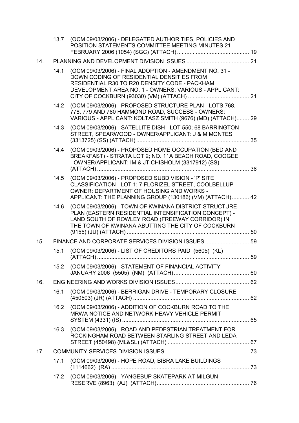|     |                                                    | 13.7 (OCM 09/03/2006) - DELEGATED AUTHORITIES, POLICIES AND<br>POSITION STATEMENTS COMMITTEE MEETING MINUTES 21                                                                                                       |  |  |
|-----|----------------------------------------------------|-----------------------------------------------------------------------------------------------------------------------------------------------------------------------------------------------------------------------|--|--|
| 14. |                                                    |                                                                                                                                                                                                                       |  |  |
|     | 14.1                                               | (OCM 09/03/2006) - FINAL ADOPTION - AMENDMENT NO. 31 -<br>DOWN CODING OF RESIDENTIAL DENSITIES FROM<br>RESIDENTIAL R30 TO R20 DENSITY CODE - PACKHAM<br>DEVELOPMENT AREA NO. 1 - OWNERS: VARIOUS - APPLICANT:         |  |  |
|     | 14.2                                               | (OCM 09/03/2006) - PROPOSED STRUCTURE PLAN - LOTS 768,<br>778, 779 AND 780 HAMMOND ROAD, SUCCESS - OWNERS:<br>VARIOUS - APPLICANT: KOLTASZ SMITH (9676) (MD) (ATTACH) 29                                              |  |  |
|     | 14.3                                               | (OCM 09/03/2006) - SATELLITE DISH - LOT 550; 68 BARRINGTON<br>STREET, SPEARWOOD - OWNER/APPLICANT: J & M MONTES                                                                                                       |  |  |
|     | 14.4                                               | (OCM 09/03/2006) - PROPOSED HOME OCCUPATION (BED AND<br>BREAKFAST) - STRATA LOT 2; NO. 11A BEACH ROAD, COOGEE<br>- OWNER/APPLICANT: IM & JT CHISHOLM (3317912) (SS)                                                   |  |  |
|     | 14.5                                               | (OCM 09/03/2006) - PROPOSED SUBDIVISION - 'P' SITE<br>CLASSIFICATION - LOT 1; 7 FLORIZEL STREET, COOLBELLUP -<br>OWNER: DEPARTMENT OF HOUSING AND WORKS -<br>APPLICANT: THE PLANNING GROUP (130186) (VM) (ATTACH) 42  |  |  |
|     | 14.6                                               | (OCM 09/03/2006) - TOWN OF KWINANA DISTRICT STRUCTURE<br>PLAN (EASTERN RESIDENTIAL INTENSIFICATION CONCEPT) -<br>LAND SOUTH OF ROWLEY ROAD (FREEWAY CORRIDOR) IN<br>THE TOWN OF KWINANA ABUTTING THE CITY OF COCKBURN |  |  |
| 15. | FINANCE AND CORPORATE SERVICES DIVISION ISSUES  59 |                                                                                                                                                                                                                       |  |  |
|     | 15.1                                               | (OCM 09/03/2006) - LIST OF CREDITORS PAID (5605) (KL)                                                                                                                                                                 |  |  |
|     |                                                    | 15.2 (OCM 09/03/2006) - STATEMENT OF FINANCIAL ACTIVITY -                                                                                                                                                             |  |  |
| 16. |                                                    |                                                                                                                                                                                                                       |  |  |
|     | 16.1                                               | (OCM 09/03/2006) - BERRIGAN DRIVE - TEMPORARY CLOSURE                                                                                                                                                                 |  |  |
|     | 16.2                                               | (OCM 09/03/2006) - ADDITION OF COCKBURN ROAD TO THE<br>MRWA NOTICE AND NETWORK HEAVY VEHICLE PERMIT                                                                                                                   |  |  |
|     | 16.3                                               | (OCM 09/03/2006) - ROAD AND PEDESTRIAN TREATMENT FOR<br>ROCKINGHAM ROAD BETWEEN STARLING STREET AND LEDA                                                                                                              |  |  |
| 17. |                                                    |                                                                                                                                                                                                                       |  |  |
|     | 17.1                                               | (OCM 09/03/2006) - HOPE ROAD, BIBRA LAKE BUILDINGS                                                                                                                                                                    |  |  |
|     |                                                    | 17.2 (OCM 09/03/2006) - YANGEBUP SKATEPARK AT MILGUN                                                                                                                                                                  |  |  |
|     |                                                    |                                                                                                                                                                                                                       |  |  |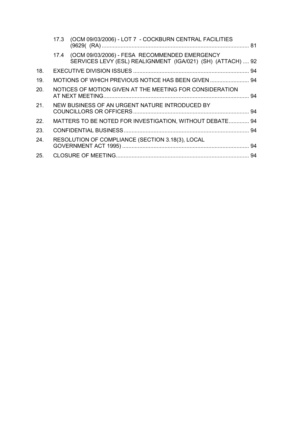|     | 17.3 (OCM 09/03/2006) - LOT 7 - COCKBURN CENTRAL FACILITIES                                                       |  |
|-----|-------------------------------------------------------------------------------------------------------------------|--|
|     | 17.4 (OCM 09/03/2006) - FESA RECOMMENDED EMERGENCY<br>SERVICES LEVY (ESL) REALIGNMENT (IGA/021) (SH) (ATTACH)  92 |  |
| 18. |                                                                                                                   |  |
| 19. | MOTIONS OF WHICH PREVIOUS NOTICE HAS BEEN GIVEN  94                                                               |  |
| 20. | NOTICES OF MOTION GIVEN AT THE MEETING FOR CONSIDERATION                                                          |  |
| 21. | NEW BUSINESS OF AN URGENT NATURE INTRODUCED BY                                                                    |  |
| 22. | MATTERS TO BE NOTED FOR INVESTIGATION, WITHOUT DEBATE 94                                                          |  |
| 23. |                                                                                                                   |  |
| 24. | RESOLUTION OF COMPLIANCE (SECTION 3.18(3), LOCAL                                                                  |  |
| 25. |                                                                                                                   |  |
|     |                                                                                                                   |  |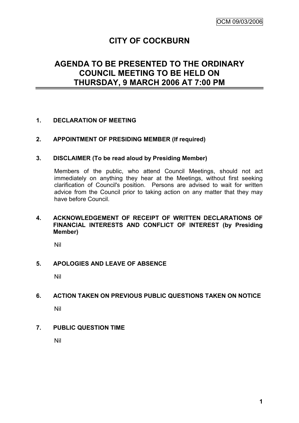# **CITY OF COCKBURN**

# **AGENDA TO BE PRESENTED TO THE ORDINARY COUNCIL MEETING TO BE HELD ON THURSDAY, 9 MARCH 2006 AT 7:00 PM**

# **1. DECLARATION OF MEETING**

#### **2. APPOINTMENT OF PRESIDING MEMBER (If required)**

#### **3. DISCLAIMER (To be read aloud by Presiding Member)**

Members of the public, who attend Council Meetings, should not act immediately on anything they hear at the Meetings, without first seeking clarification of Council's position. Persons are advised to wait for written advice from the Council prior to taking action on any matter that they may have before Council.

#### **4. ACKNOWLEDGEMENT OF RECEIPT OF WRITTEN DECLARATIONS OF FINANCIAL INTERESTS AND CONFLICT OF INTEREST (by Presiding Member)**

Nil

#### **5. APOLOGIES AND LEAVE OF ABSENCE**

Nil

#### **6. ACTION TAKEN ON PREVIOUS PUBLIC QUESTIONS TAKEN ON NOTICE**

Nil

#### **7. PUBLIC QUESTION TIME**

Nil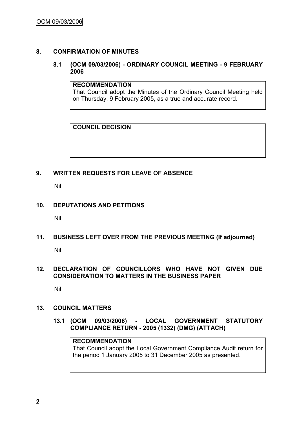# **8. CONFIRMATION OF MINUTES**

# **8.1 (OCM 09/03/2006) - ORDINARY COUNCIL MEETING - 9 FEBRUARY 2006**

#### **RECOMMENDATION**

That Council adopt the Minutes of the Ordinary Council Meeting held on Thursday, 9 February 2005, as a true and accurate record.

# **COUNCIL DECISION**

# **9. WRITTEN REQUESTS FOR LEAVE OF ABSENCE**

Nil

# **10. DEPUTATIONS AND PETITIONS**

Nil

#### **11. BUSINESS LEFT OVER FROM THE PREVIOUS MEETING (If adjourned)**

Nil

# **12. DECLARATION OF COUNCILLORS WHO HAVE NOT GIVEN DUE CONSIDERATION TO MATTERS IN THE BUSINESS PAPER**

Nil

# **13. COUNCIL MATTERS**

**13.1 (OCM 09/03/2006) - LOCAL GOVERNMENT STATUTORY COMPLIANCE RETURN - 2005 (1332) (DMG) (ATTACH)**

# **RECOMMENDATION**

That Council adopt the Local Government Compliance Audit return for the period 1 January 2005 to 31 December 2005 as presented.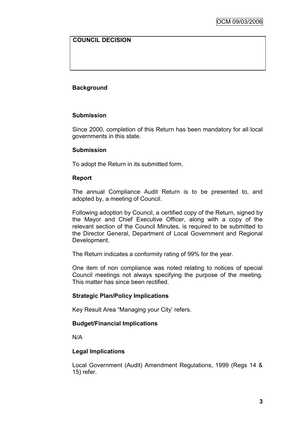# **COUNCIL DECISION**

# **Background**

# **Submission**

Since 2000, completion of this Return has been mandatory for all local governments in this state.

#### **Submission**

To adopt the Return in its submitted form.

# **Report**

The annual Compliance Audit Return is to be presented to, and adopted by, a meeting of Council.

Following adoption by Council, a certified copy of the Return, signed by the Mayor and Chief Executive Officer, along with a copy of the relevant section of the Council Minutes, is required to be submitted to the Director General, Department of Local Government and Regional Development.

The Return indicates a conformity rating of 99% for the year.

One item of non compliance was noted relating to notices of special Council meetings not always specifying the purpose of the meeting. This matter has since been rectified.

# **Strategic Plan/Policy Implications**

Key Result Area "Managing your City' refers.

# **Budget/Financial Implications**

N/A

# **Legal Implications**

Local Government (Audit) Amendment Regulations, 1999 (Regs 14 & 15) refer.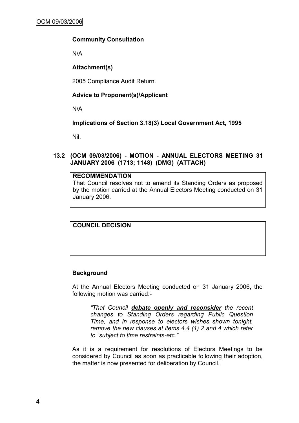# **Community Consultation**

N/A

# **Attachment(s)**

2005 Compliance Audit Return.

# **Advice to Proponent(s)/Applicant**

N/A

# **Implications of Section 3.18(3) Local Government Act, 1995**

Nil.

# **13.2 (OCM 09/03/2006) - MOTION - ANNUAL ELECTORS MEETING 31 JANUARY 2006 (1713; 1148) (DMG) (ATTACH)**

## **RECOMMENDATION**

That Council resolves not to amend its Standing Orders as proposed by the motion carried at the Annual Electors Meeting conducted on 31 January 2006.

# **COUNCIL DECISION**

# **Background**

At the Annual Electors Meeting conducted on 31 January 2006, the following motion was carried:-

*"That Council debate openly and reconsider the recent changes to Standing Orders regarding Public Question Time, and in response to electors wishes shown tonight, remove the new clauses at items 4.4 (1) 2 and 4 which refer to "subject to time restraints-etc."*

As it is a requirement for resolutions of Electors Meetings to be considered by Council as soon as practicable following their adoption, the matter is now presented for deliberation by Council.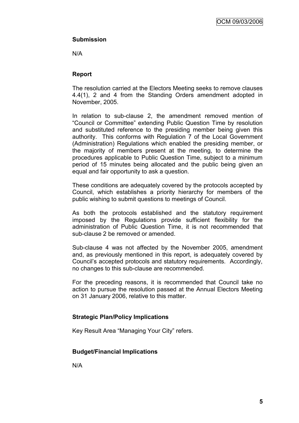# **Submission**

N/A

# **Report**

The resolution carried at the Electors Meeting seeks to remove clauses 4.4(1), 2 and 4 from the Standing Orders amendment adopted in November, 2005.

In relation to sub-clause 2, the amendment removed mention of "Council or Committee" extending Public Question Time by resolution and substituted reference to the presiding member being given this authority. This conforms with Regulation 7 of the Local Government (Administration) Regulations which enabled the presiding member, or the majority of members present at the meeting, to determine the procedures applicable to Public Question Time, subject to a minimum period of 15 minutes being allocated and the public being given an equal and fair opportunity to ask a question.

These conditions are adequately covered by the protocols accepted by Council, which establishes a priority hierarchy for members of the public wishing to submit questions to meetings of Council.

As both the protocols established and the statutory requirement imposed by the Regulations provide sufficient flexibility for the administration of Public Question Time, it is not recommended that sub-clause 2 be removed or amended.

Sub-clause 4 was not affected by the November 2005, amendment and, as previously mentioned in this report, is adequately covered by Council"s accepted protocols and statutory requirements. Accordingly, no changes to this sub-clause are recommended.

For the preceding reasons, it is recommended that Council take no action to pursue the resolution passed at the Annual Electors Meeting on 31 January 2006, relative to this matter.

#### **Strategic Plan/Policy Implications**

Key Result Area "Managing Your City" refers.

#### **Budget/Financial Implications**

N/A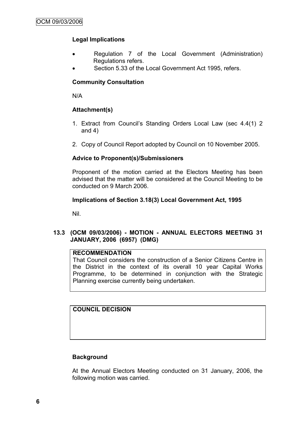# **Legal Implications**

- Regulation 7 of the Local Government (Administration) Regulations refers.
- Section 5.33 of the Local Government Act 1995, refers.

# **Community Consultation**

N/A

# **Attachment(s)**

- 1. Extract from Council"s Standing Orders Local Law (sec 4.4(1) 2 and 4)
- 2. Copy of Council Report adopted by Council on 10 November 2005.

# **Advice to Proponent(s)/Submissioners**

Proponent of the motion carried at the Electors Meeting has been advised that the matter will be considered at the Council Meeting to be conducted on 9 March 2006.

# **Implications of Section 3.18(3) Local Government Act, 1995**

Nil.

# **13.3 (OCM 09/03/2006) - MOTION - ANNUAL ELECTORS MEETING 31 JANUARY, 2006 (6957) (DMG)**

# **RECOMMENDATION**

That Council considers the construction of a Senior Citizens Centre in the District in the context of its overall 10 year Capital Works Programme, to be determined in conjunction with the Strategic Planning exercise currently being undertaken.

#### **COUNCIL DECISION**

#### **Background**

At the Annual Electors Meeting conducted on 31 January, 2006, the following motion was carried.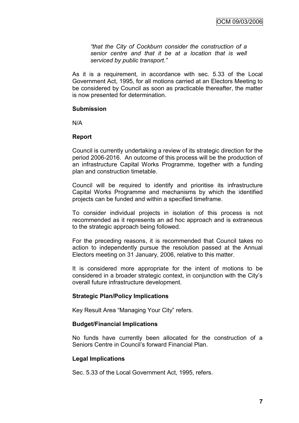*"that the City of Cockburn consider the construction of a senior centre and that it be at a location that is well serviced by public transport."*

As it is a requirement, in accordance with sec. 5.33 of the Local Government Act, 1995, for all motions carried at an Electors Meeting to be considered by Council as soon as practicable thereafter, the matter is now presented for determination.

#### **Submission**

N/A

#### **Report**

Council is currently undertaking a review of its strategic direction for the period 2006-2016. An outcome of this process will be the production of an infrastructure Capital Works Programme, together with a funding plan and construction timetable.

Council will be required to identify and prioritise its infrastructure Capital Works Programme and mechanisms by which the identified projects can be funded and within a specified timeframe.

To consider individual projects in isolation of this process is not recommended as it represents an ad hoc approach and is extraneous to the strategic approach being followed.

For the preceding reasons, it is recommended that Council takes no action to independently pursue the resolution passed at the Annual Electors meeting on 31 January, 2006, relative to this matter.

It is considered more appropriate for the intent of motions to be considered in a broader strategic context, in conjunction with the City"s overall future infrastructure development.

#### **Strategic Plan/Policy Implications**

Key Result Area "Managing Your City" refers.

#### **Budget/Financial Implications**

No funds have currently been allocated for the construction of a Seniors Centre in Council"s forward Financial Plan.

#### **Legal Implications**

Sec. 5.33 of the Local Government Act, 1995, refers.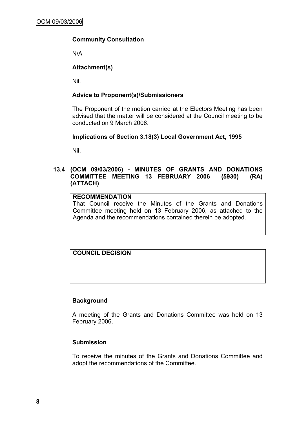# **Community Consultation**

N/A

# **Attachment(s)**

Nil.

# **Advice to Proponent(s)/Submissioners**

The Proponent of the motion carried at the Electors Meeting has been advised that the matter will be considered at the Council meeting to be conducted on 9 March 2006.

#### **Implications of Section 3.18(3) Local Government Act, 1995**

Nil.

# **13.4 (OCM 09/03/2006) - MINUTES OF GRANTS AND DONATIONS COMMITTEE MEETING 13 FEBRUARY 2006 (5930) (RA) (ATTACH)**

# **RECOMMENDATION**

That Council receive the Minutes of the Grants and Donations Committee meeting held on 13 February 2006, as attached to the Agenda and the recommendations contained therein be adopted.

# **COUNCIL DECISION**

#### **Background**

A meeting of the Grants and Donations Committee was held on 13 February 2006.

#### **Submission**

To receive the minutes of the Grants and Donations Committee and adopt the recommendations of the Committee.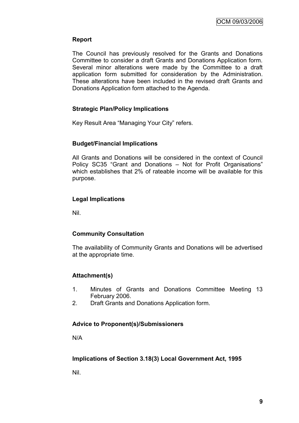# **Report**

The Council has previously resolved for the Grants and Donations Committee to consider a draft Grants and Donations Application form. Several minor alterations were made by the Committee to a draft application form submitted for consideration by the Administration. These alterations have been included in the revised draft Grants and Donations Application form attached to the Agenda.

# **Strategic Plan/Policy Implications**

Key Result Area "Managing Your City" refers.

# **Budget/Financial Implications**

All Grants and Donations will be considered in the context of Council Policy SC35 "Grant and Donations – Not for Profit Organisations" which establishes that 2% of rateable income will be available for this purpose.

# **Legal Implications**

Nil.

#### **Community Consultation**

The availability of Community Grants and Donations will be advertised at the appropriate time.

# **Attachment(s)**

- 1. Minutes of Grants and Donations Committee Meeting 13 February 2006.
- 2. Draft Grants and Donations Application form.

#### **Advice to Proponent(s)/Submissioners**

N/A

#### **Implications of Section 3.18(3) Local Government Act, 1995**

Nil.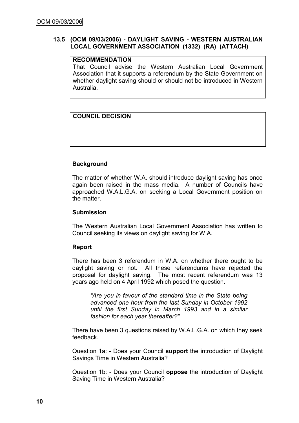#### **13.5 (OCM 09/03/2006) - DAYLIGHT SAVING - WESTERN AUSTRALIAN LOCAL GOVERNMENT ASSOCIATION (1332) (RA) (ATTACH)**

# **RECOMMENDATION**

That Council advise the Western Australian Local Government Association that it supports a referendum by the State Government on whether daylight saving should or should not be introduced in Western Australia.

# **COUNCIL DECISION**

# **Background**

The matter of whether W.A. should introduce daylight saving has once again been raised in the mass media. A number of Councils have approached W.A.L.G.A. on seeking a Local Government position on the matter.

# **Submission**

The Western Australian Local Government Association has written to Council seeking its views on daylight saving for W.A.

#### **Report**

There has been 3 referendum in W.A. on whether there ought to be daylight saving or not. All these referendums have rejected the proposal for daylight saving. The most recent referendum was 13 years ago held on 4 April 1992 which posed the question.

*"Are you in favour of the standard time in the State being advanced one hour from the last Sunday in October 1992 until the first Sunday in March 1993 and in a similar fashion for each year thereafter?"*

There have been 3 questions raised by W.A.L.G.A. on which they seek feedback.

Question 1a: - Does your Council **support** the introduction of Daylight Savings Time in Western Australia?

Question 1b: - Does your Council **oppose** the introduction of Daylight Saving Time in Western Australia?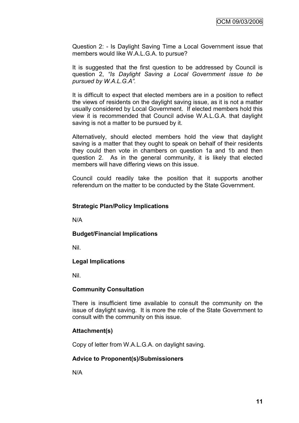Question 2: - Is Daylight Saving Time a Local Government issue that members would like W.A.L.G.A. to pursue?

It is suggested that the first question to be addressed by Council is question 2, *"Is Daylight Saving a Local Government issue to be pursued by W.A.L.G.A".*

It is difficult to expect that elected members are in a position to reflect the views of residents on the daylight saving issue, as it is not a matter usually considered by Local Government. If elected members hold this view it is recommended that Council advise W.A.L.G.A. that daylight saving is not a matter to be pursued by it.

Alternatively, should elected members hold the view that daylight saving is a matter that they ought to speak on behalf of their residents they could then vote in chambers on question 1a and 1b and then question 2. As in the general community, it is likely that elected members will have differing views on this issue.

Council could readily take the position that it supports another referendum on the matter to be conducted by the State Government.

#### **Strategic Plan/Policy Implications**

N/A

#### **Budget/Financial Implications**

Nil.

#### **Legal Implications**

Nil.

#### **Community Consultation**

There is insufficient time available to consult the community on the issue of daylight saving. It is more the role of the State Government to consult with the community on this issue.

#### **Attachment(s)**

Copy of letter from W.A.L.G.A. on daylight saving.

#### **Advice to Proponent(s)/Submissioners**

N/A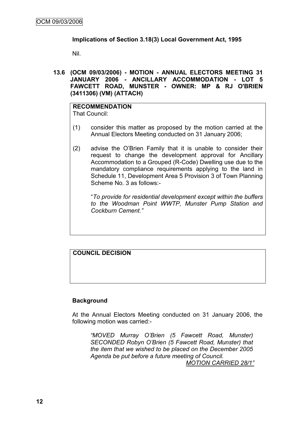# **Implications of Section 3.18(3) Local Government Act, 1995**

Nil.

**13.6 (OCM 09/03/2006) - MOTION - ANNUAL ELECTORS MEETING 31 JANUARY 2006 - ANCILLARY ACCOMMODATION - LOT 5 FAWCETT ROAD, MUNSTER - OWNER: MP & RJ O'BRIEN (3411306) (VM) (ATTACH)**

**RECOMMENDATION** That Council:

- (1) consider this matter as proposed by the motion carried at the Annual Electors Meeting conducted on 31 January 2006;
- (2) advise the O"Brien Family that it is unable to consider their request to change the development approval for Ancillary Accommodation to a Grouped (R-Code) Dwelling use due to the mandatory compliance requirements applying to the land in Schedule 11, Development Area 5 Provision 3 of Town Planning Scheme No. 3 as follows:-

"*To provide for residential development except within the buffers to the Woodman Point WWTP, Munster Pump Station and Cockburn Cement."*

# **COUNCIL DECISION**

#### **Background**

At the Annual Electors Meeting conducted on 31 January 2006, the following motion was carried:-

*"MOVED Murray O"Brien (5 Fawcett Road, Munster) SECONDED Robyn O"Brien (5 Fawcett Road, Munster) that the item that we wished to be placed on the December 2005 Agenda be put before a future meeting of Council.* 

*MOTION CARRIED 28/1"*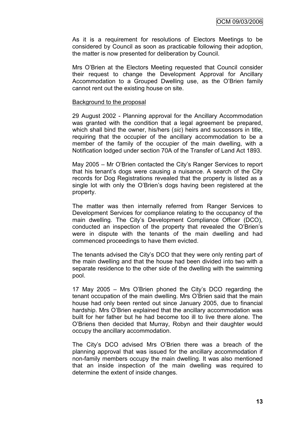As it is a requirement for resolutions of Electors Meetings to be considered by Council as soon as practicable following their adoption, the matter is now presented for deliberation by Council.

Mrs O"Brien at the Electors Meeting requested that Council consider their request to change the Development Approval for Ancillary Accommodation to a Grouped Dwelling use, as the O"Brien family cannot rent out the existing house on site.

#### Background to the proposal

29 August 2002 - Planning approval for the Ancillary Accommodation was granted with the condition that a legal agreement be prepared, which shall bind the owner, his/hers (*sic*) heirs and successors in title, requiring that the occupier of the ancillary accommodation to be a member of the family of the occupier of the main dwelling, with a Notification lodged under section 70A of the Transfer of Land Act 1893.

May 2005 – Mr O"Brien contacted the City"s Ranger Services to report that his tenant"s dogs were causing a nuisance. A search of the City records for Dog Registrations revealed that the property is listed as a single lot with only the O'Brien's dogs having been registered at the property.

The matter was then internally referred from Ranger Services to Development Services for compliance relating to the occupancy of the main dwelling. The City's Development Compliance Officer (DCO), conducted an inspection of the property that revealed the O"Brien"s were in dispute with the tenants of the main dwelling and had commenced proceedings to have them evicted.

The tenants advised the City"s DCO that they were only renting part of the main dwelling and that the house had been divided into two with a separate residence to the other side of the dwelling with the swimming pool.

17 May 2005 – Mrs O"Brien phoned the City"s DCO regarding the tenant occupation of the main dwelling. Mrs O"Brien said that the main house had only been rented out since January 2005, due to financial hardship. Mrs O"Brien explained that the ancillary accommodation was built for her father but he had become too ill to live there alone. The O"Briens then decided that Murray, Robyn and their daughter would occupy the ancillary accommodation.

The City"s DCO advised Mrs O"Brien there was a breach of the planning approval that was issued for the ancillary accommodation if non-family members occupy the main dwelling. It was also mentioned that an inside inspection of the main dwelling was required to determine the extent of inside changes.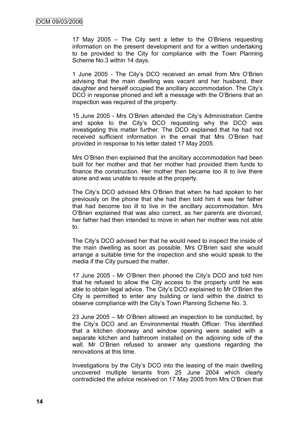17 May 2005 – The City sent a letter to the O"Briens requesting information on the present development and for a written undertaking to be provided to the City for compliance with the Town Planning Scheme No.3 within 14 days.

1 June 2005 - The City"s DCO received an email from Mrs O"Brien advising that the main dwelling was vacant and her husband, their daughter and herself occupied the ancillary accommodation. The City"s DCO in response phoned and left a message with the O"Briens that an inspection was required of the property.

15 June 2005 - Mrs O"Brien attended the City"s Administration Centre and spoke to the City"s DCO requesting why the DCO was investigating this matter further. The DCO explained that he had not received sufficient information in the email that Mrs O"Brien had provided in response to his letter dated 17 May 2005.

Mrs O"Brien then explained that the ancillary accommodation had been built for her mother and that her mother had provided them funds to finance the construction. Her mother then became too ill to live there alone and was unable to reside at the property.

The City"s DCO advised Mrs O"Brien that when he had spoken to her previously on the phone that she had then told him it was her father that had become too ill to live in the ancillary accommodation. Mrs O"Brien explained that was also correct, as her parents are divorced, her father had then intended to move in when her mother was not able to.

The City"s DCO advised her that he would need to inspect the inside of the main dwelling as soon as possible. Mrs O"Brien said she would arrange a suitable time for the inspection and she would speak to the media if the City pursued the matter.

17 June 2005 - Mr O"Brien then phoned the City"s DCO and told him that he refused to allow the City access to the property until he was able to obtain legal advice. The City"s DCO explained to Mr O"Brien the City is permitted to enter any building or land within the district to observe compliance with the City"s Town Planning Scheme No. 3.

23 June 2005 – Mr O"Brien allowed an inspection to be conducted, by the City"s DCO and an Environmental Health Officer. This identified that a kitchen doorway and window opening were sealed with a separate kitchen and bathroom installed on the adjoining side of the wall. Mr O"Brien refused to answer any questions regarding the renovations at this time.

Investigations by the City"s DCO into the leasing of the main dwelling uncovered multiple tenants from 25 June 2004 which clearly contradicted the advice received on 17 May 2005 from Mrs O"Brien that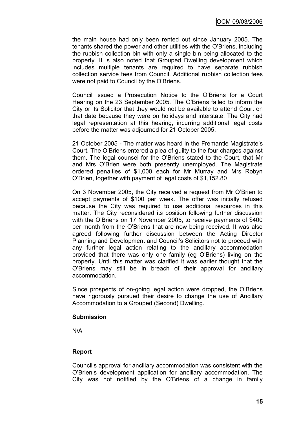the main house had only been rented out since January 2005. The tenants shared the power and other utilities with the O"Briens, including the rubbish collection bin with only a single bin being allocated to the property. It is also noted that Grouped Dwelling development which includes multiple tenants are required to have separate rubbish collection service fees from Council. Additional rubbish collection fees were not paid to Council by the O"Briens.

Council issued a Prosecution Notice to the O"Briens for a Court Hearing on the 23 September 2005. The O"Briens failed to inform the City or its Solicitor that they would not be available to attend Court on that date because they were on holidays and interstate. The City had legal representation at this hearing, incurring additional legal costs before the matter was adjourned for 21 October 2005.

21 October 2005 - The matter was heard in the Fremantle Magistrate"s Court. The O"Briens entered a plea of guilty to the four charges against them. The legal counsel for the O"Briens stated to the Court, that Mr and Mrs O"Brien were both presently unemployed. The Magistrate ordered penalties of \$1,000 each for Mr Murray and Mrs Robyn O"Brien, together with payment of legal costs of \$1,152.80

On 3 November 2005, the City received a request from Mr O"Brien to accept payments of \$100 per week. The offer was initially refused because the City was required to use additional resources in this matter. The City reconsidered its position following further discussion with the O"Briens on 17 November 2005, to receive payments of \$400 per month from the O"Briens that are now being received. It was also agreed following further discussion between the Acting Director Planning and Development and Council"s Solicitors not to proceed with any further legal action relating to the ancillary accommodation provided that there was only one family (eg O"Briens) living on the property. Until this matter was clarified it was earlier thought that the O"Briens may still be in breach of their approval for ancillary accommodation.

Since prospects of on-going legal action were dropped, the O"Briens have rigorously pursued their desire to change the use of Ancillary Accommodation to a Grouped (Second) Dwelling.

#### **Submission**

N/A

#### **Report**

Council"s approval for ancillary accommodation was consistent with the O"Brien"s development application for ancillary accommodation. The City was not notified by the O"Briens of a change in family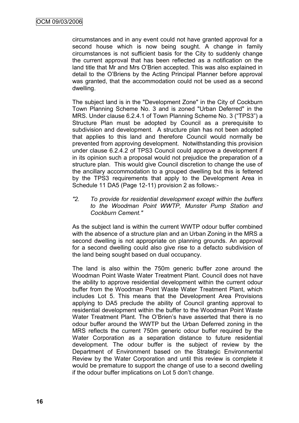circumstances and in any event could not have granted approval for a second house which is now being sought. A change in family circumstances is not sufficient basis for the City to suddenly change the current approval that has been reflected as a notification on the land title that Mr and Mrs O"Brien accepted. This was also explained in detail to the O"Briens by the Acting Principal Planner before approval was granted, that the accommodation could not be used as a second dwelling.

The subject land is in the "Development Zone" in the City of Cockburn Town Planning Scheme No. 3 and is zoned "Urban Deferred" in the MRS. Under clause 6.2.4.1 of Town Planning Scheme No. 3 ("TPS3") a Structure Plan must be adopted by Council as a prerequisite to subdivision and development. A structure plan has not been adopted that applies to this land and therefore Council would normally be prevented from approving development. Notwithstanding this provision under clause 6.2.4.2 of TPS3 Council could approve a development if in its opinion such a proposal would not prejudice the preparation of a structure plan. This would give Council discretion to change the use of the ancillary accommodation to a grouped dwelling but this is fettered by the TPS3 requirements that apply to the Development Area in Schedule 11 DA5 (Page 12-11) provision 2 as follows:-

*"2. To provide for residential development except within the buffers to the Woodman Point WWTP, Munster Pump Station and Cockburn Cement."*

As the subject land is within the current WWTP odour buffer combined with the absence of a structure plan and an Urban Zoning in the MRS a second dwelling is not appropriate on planning grounds. An approval for a second dwelling could also give rise to a defacto subdivision of the land being sought based on dual occupancy.

The land is also within the 750m generic buffer zone around the Woodman Point Waste Water Treatment Plant. Council does not have the ability to approve residential development within the current odour buffer from the Woodman Point Waste Water Treatment Plant, which includes Lot 5. This means that the Development Area Provisions applying to DA5 preclude the ability of Council granting approval to residential development within the buffer to the Woodman Point Waste Water Treatment Plant. The O"Brien"s have asserted that there is no odour buffer around the WWTP but the Urban Deferred zoning in the MRS reflects the current 750m generic odour buffer required by the Water Corporation as a separation distance to future residential development. The odour buffer is the subject of review by the Department of Environment based on the Strategic Environmental Review by the Water Corporation and until this review is complete it would be premature to support the change of use to a second dwelling if the odour buffer implications on Lot 5 don"t change.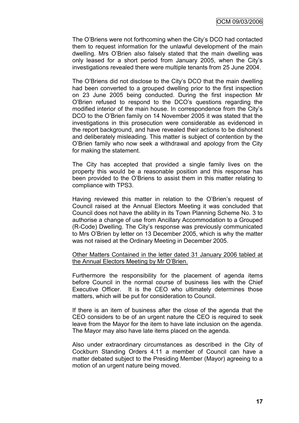The O"Briens were not forthcoming when the City"s DCO had contacted them to request information for the unlawful development of the main dwelling. Mrs O"Brien also falsely stated that the main dwelling was only leased for a short period from January 2005, when the City"s investigations revealed there were multiple tenants from 25 June 2004.

The O"Briens did not disclose to the City"s DCO that the main dwelling had been converted to a grouped dwelling prior to the first inspection on 23 June 2005 being conducted. During the first inspection Mr O"Brien refused to respond to the DCO"s questions regarding the modified interior of the main house. In correspondence from the City"s DCO to the O"Brien family on 14 November 2005 it was stated that the investigations in this prosecution were considerable as evidenced in the report background, and have revealed their actions to be dishonest and deliberately misleading. This matter is subject of contention by the O"Brien family who now seek a withdrawal and apology from the City for making the statement.

The City has accepted that provided a single family lives on the property this would be a reasonable position and this response has been provided to the O"Briens to assist them in this matter relating to compliance with TPS3.

Having reviewed this matter in relation to the O"Brien"s request of Council raised at the Annual Electors Meeting it was concluded that Council does not have the ability in its Town Planning Scheme No. 3 to authorise a change of use from Ancillary Accommodation to a Grouped (R-Code) Dwelling. The City"s response was previously communicated to Mrs O"Brien by letter on 13 December 2005, which is why the matter was not raised at the Ordinary Meeting in December 2005.

Other Matters Contained in the letter dated 31 January 2006 tabled at the Annual Electors Meeting by Mr O"Brien.

Furthermore the responsibility for the placement of agenda items before Council in the normal course of business lies with the Chief Executive Officer. It is the CEO who ultimately determines those matters, which will be put for consideration to Council.

If there is an item of business after the close of the agenda that the CEO considers to be of an urgent nature the CEO is required to seek leave from the Mayor for the item to have late inclusion on the agenda. The Mayor may also have late items placed on the agenda.

Also under extraordinary circumstances as described in the City of Cockburn Standing Orders 4.11 a member of Council can have a matter debated subject to the Presiding Member (Mayor) agreeing to a motion of an urgent nature being moved.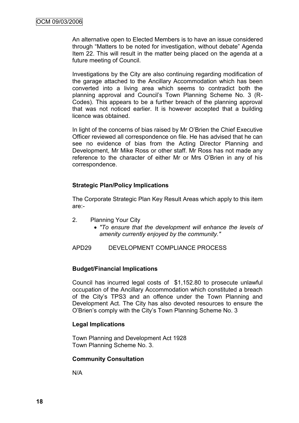An alternative open to Elected Members is to have an issue considered through "Matters to be noted for investigation, without debate" Agenda Item 22. This will result in the matter being placed on the agenda at a future meeting of Council.

Investigations by the City are also continuing regarding modification of the garage attached to the Ancillary Accommodation which has been converted into a living area which seems to contradict both the planning approval and Council's Town Planning Scheme No. 3 (R-Codes). This appears to be a further breach of the planning approval that was not noticed earlier. It is however accepted that a building licence was obtained.

In light of the concerns of bias raised by Mr O"Brien the Chief Executive Officer reviewed all correspondence on file. He has advised that he can see no evidence of bias from the Acting Director Planning and Development, Mr Mike Ross or other staff. Mr Ross has not made any reference to the character of either Mr or Mrs O"Brien in any of his correspondence.

# **Strategic Plan/Policy Implications**

The Corporate Strategic Plan Key Result Areas which apply to this item are:-

- 2. Planning Your City
	- *"To ensure that the development will enhance the levels of amenity currently enjoyed by the community."*

APD29 DEVELOPMENT COMPLIANCE PROCESS

#### **Budget/Financial Implications**

Council has incurred legal costs of \$1,152.80 to prosecute unlawful occupation of the Ancillary Accommodation which constituted a breach of the City"s TPS3 and an offence under the Town Planning and Development Act. The City has also devoted resources to ensure the O"Brien"s comply with the City"s Town Planning Scheme No. 3

#### **Legal Implications**

Town Planning and Development Act 1928 Town Planning Scheme No. 3.

#### **Community Consultation**

N/A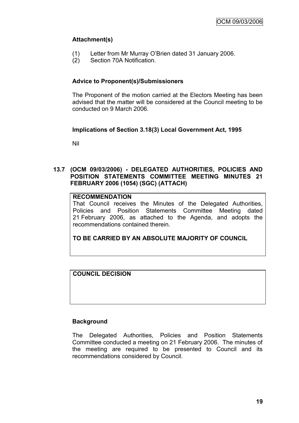# **Attachment(s)**

- (1) Letter from Mr Murray O"Brien dated 31 January 2006.
- (2) Section 70A Notification.

# **Advice to Proponent(s)/Submissioners**

The Proponent of the motion carried at the Electors Meeting has been advised that the matter will be considered at the Council meeting to be conducted on 9 March 2006.

# **Implications of Section 3.18(3) Local Government Act, 1995**

Nil

# **13.7 (OCM 09/03/2006) - DELEGATED AUTHORITIES, POLICIES AND POSITION STATEMENTS COMMITTEE MEETING MINUTES 21 FEBRUARY 2006 (1054) (SGC) (ATTACH)**

# **RECOMMENDATION**

That Council receives the Minutes of the Delegated Authorities, Policies and Position Statements Committee Meeting dated 21 February 2006, as attached to the Agenda, and adopts the recommendations contained therein.

**TO BE CARRIED BY AN ABSOLUTE MAJORITY OF COUNCIL**

**COUNCIL DECISION**

#### **Background**

The Delegated Authorities, Policies and Position Statements Committee conducted a meeting on 21 February 2006. The minutes of the meeting are required to be presented to Council and its recommendations considered by Council.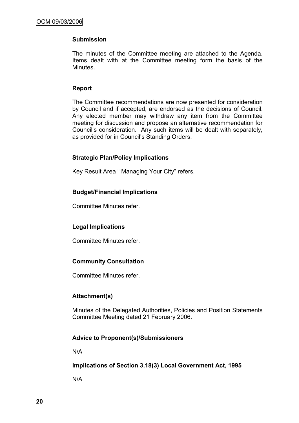# **Submission**

The minutes of the Committee meeting are attached to the Agenda. Items dealt with at the Committee meeting form the basis of the Minutes.

#### **Report**

The Committee recommendations are now presented for consideration by Council and if accepted, are endorsed as the decisions of Council. Any elected member may withdraw any item from the Committee meeting for discussion and propose an alternative recommendation for Council"s consideration. Any such items will be dealt with separately, as provided for in Council"s Standing Orders.

#### **Strategic Plan/Policy Implications**

Key Result Area " Managing Your City" refers.

# **Budget/Financial Implications**

Committee Minutes refer.

# **Legal Implications**

Committee Minutes refer.

# **Community Consultation**

Committee Minutes refer.

#### **Attachment(s)**

Minutes of the Delegated Authorities, Policies and Position Statements Committee Meeting dated 21 February 2006.

#### **Advice to Proponent(s)/Submissioners**

N/A

#### **Implications of Section 3.18(3) Local Government Act, 1995**

N/A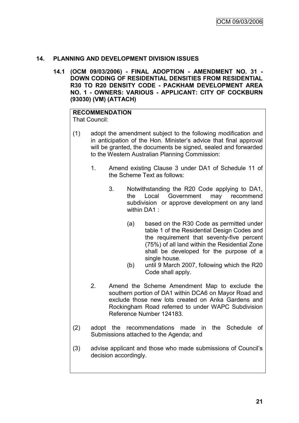# **14. PLANNING AND DEVELOPMENT DIVISION ISSUES**

**14.1 (OCM 09/03/2006) - FINAL ADOPTION - AMENDMENT NO. 31 - DOWN CODING OF RESIDENTIAL DENSITIES FROM RESIDENTIAL R30 TO R20 DENSITY CODE - PACKHAM DEVELOPMENT AREA NO. 1 - OWNERS: VARIOUS - APPLICANT: CITY OF COCKBURN (93030) (VM) (ATTACH)**

# **RECOMMENDATION**

That Council:

- (1) adopt the amendment subject to the following modification and in anticipation of the Hon. Minister"s advice that final approval will be granted, the documents be signed, sealed and forwarded to the Western Australian Planning Commission:
	- 1. Amend existing Clause 3 under DA1 of Schedule 11 of the Scheme Text as follows:
		- 3. Notwithstanding the R20 Code applying to DA1, the Local Government may recommend subdivision or approve development on any land within DA1 :
			- (a) based on the R30 Code as permitted under table 1 of the Residential Design Codes and the requirement that seventy-five percent (75%) of all land within the Residential Zone shall be developed for the purpose of a single house.
			- (b) until 9 March 2007, following which the R20 Code shall apply.
	- 2. Amend the Scheme Amendment Map to exclude the southern portion of DA1 within DCA6 on Mayor Road and exclude those new lots created on Anka Gardens and Rockingham Road referred to under WAPC Subdivision Reference Number 124183.
- (2) adopt the recommendations made in the Schedule of Submissions attached to the Agenda; and
- (3) advise applicant and those who made submissions of Council"s decision accordingly.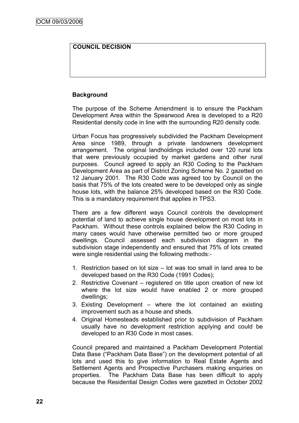# **COUNCIL DECISION**

# **Background**

The purpose of the Scheme Amendment is to ensure the Packham Development Area within the Spearwood Area is developed to a R20 Residential density code in line with the surrounding R20 density code.

Urban Focus has progressively subdivided the Packham Development Area since 1989, through a private landowners development arrangement. The original landholdings included over 120 rural lots that were previously occupied by market gardens and other rural purposes. Council agreed to apply an R30 Coding to the Packham Development Area as part of District Zoning Scheme No. 2 gazetted on 12 January 2001. The R30 Code was agreed too by Council on the basis that 75% of the lots created were to be developed only as single house lots, with the balance 25% developed based on the R30 Code. This is a mandatory requirement that applies in TPS3.

There are a few different ways Council controls the development potential of land to achieve single house development on most lots in Packham. Without these controls explained below the R30 Coding in many cases would have otherwise permitted two or more grouped dwellings. Council assessed each subdivision diagram in the subdivision stage independently and ensured that 75% of lots created were single residential using the following methods:-

- 1. Restriction based on lot size lot was too small in land area to be developed based on the R30 Code (1991 Codes);
- 2. Restrictive Covenant registered on title upon creation of new lot where the lot size would have enabled 2 or more grouped dwellings;
- 3. Existing Development where the lot contained an existing improvement such as a house and sheds.
- 4. Original Homesteads established prior to subdivision of Packham usually have no development restriction applying and could be developed to an R30 Code in most cases.

Council prepared and maintained a Packham Development Potential Data Base ("Packham Data Base") on the development potential of all lots and used this to give information to Real Estate Agents and Settlement Agents and Prospective Purchasers making enquiries on properties. The Packham Data Base has been difficult to apply because the Residential Design Codes were gazetted in October 2002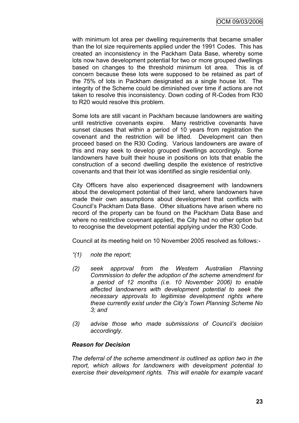with minimum lot area per dwelling requirements that became smaller than the lot size requirements applied under the 1991 Codes. This has created an inconsistency in the Packham Data Base, whereby some lots now have development potential for two or more grouped dwellings based on changes to the threshold minimum lot area. This is of concern because these lots were supposed to be retained as part of the 75% of lots in Packham designated as a single house lot. The integrity of the Scheme could be diminished over time if actions are not taken to resolve this inconsistency. Down coding of R-Codes from R30 to R20 would resolve this problem.

Some lots are still vacant in Packham because landowners are waiting until restrictive covenants expire. Many restrictive covenants have sunset clauses that within a period of 10 years from registration the covenant and the restriction will be lifted. Development can then proceed based on the R30 Coding. Various landowners are aware of this and may seek to develop grouped dwellings accordingly. Some landowners have built their house in positions on lots that enable the construction of a second dwelling despite the existence of restrictive covenants and that their lot was identified as single residential only.

City Officers have also experienced disagreement with landowners about the development potential of their land, where landowners have made their own assumptions about development that conflicts with Council"s Packham Data Base. Other situations have arisen where no record of the property can be found on the Packham Data Base and where no restrictive covenant applied, the City had no other option but to recognise the development potential applying under the R30 Code.

Council at its meeting held on 10 November 2005 resolved as follows:-

- *"(1) note the report;*
- *(2) seek approval from the Western Australian Planning Commission to defer the adoption of the scheme amendment for a period of 12 months (i.e. 10 November 2006) to enable affected landowners with development potential to seek the necessary approvals to legitimise development rights where these currently exist under the City"s Town Planning Scheme No 3; and*
- *(3) advise those who made submissions of Council"s decision accordingly.*

#### *Reason for Decision*

*The deferral of the scheme amendment is outlined as option two in the report, which allows for landowners with development potential to exercise their development rights. This will enable for example vacant*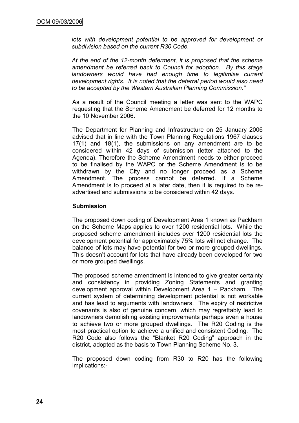lots with development potential to be approved for development or *subdivision based on the current R30 Code.*

*At the end of the 12-month deferment, it is proposed that the scheme amendment be referred back to Council for adoption. By this stage*  landowners would have had enough time to legitimise current *development rights. It is noted that the deferral period would also need to be accepted by the Western Australian Planning Commission."*

As a result of the Council meeting a letter was sent to the WAPC requesting that the Scheme Amendment be deferred for 12 months to the 10 November 2006.

The Department for Planning and Infrastructure on 25 January 2006 advised that in line with the Town Planning Regulations 1967 clauses 17(1) and 18(1), the submissions on any amendment are to be considered within 42 days of submission (letter attached to the Agenda). Therefore the Scheme Amendment needs to either proceed to be finalised by the WAPC or the Scheme Amendment is to be withdrawn by the City and no longer proceed as a Scheme Amendment. The process cannot be deferred. If a Scheme Amendment is to proceed at a later date, then it is required to be readvertised and submissions to be considered within 42 days.

#### **Submission**

The proposed down coding of Development Area 1 known as Packham on the Scheme Maps applies to over 1200 residential lots. While the proposed scheme amendment includes over 1200 residential lots the development potential for approximately 75% lots will not change. The balance of lots may have potential for two or more grouped dwellings. This doesn"t account for lots that have already been developed for two or more grouped dwellings.

The proposed scheme amendment is intended to give greater certainty and consistency in providing Zoning Statements and granting development approval within Development Area 1 – Packham. The current system of determining development potential is not workable and has lead to arguments with landowners. The expiry of restrictive covenants is also of genuine concern, which may regrettably lead to landowners demolishing existing improvements perhaps even a house to achieve two or more grouped dwellings. The R20 Coding is the most practical option to achieve a unified and consistent Coding. The R20 Code also follows the "Blanket R20 Coding" approach in the district, adopted as the basis to Town Planning Scheme No. 3.

The proposed down coding from R30 to R20 has the following implications:-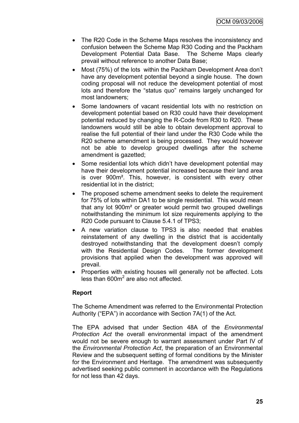- The R20 Code in the Scheme Maps resolves the inconsistency and confusion between the Scheme Map R30 Coding and the Packham Development Potential Data Base. The Scheme Maps clearly prevail without reference to another Data Base;
- Most (75%) of the lots within the Packham Development Area don't have any development potential beyond a single house. The down coding proposal will not reduce the development potential of most lots and therefore the "status quo" remains largely unchanged for most landowners;
- Some landowners of vacant residential lots with no restriction on development potential based on R30 could have their development potential reduced by changing the R-Code from R30 to R20. These landowners would still be able to obtain development approval to realise the full potential of their land under the R30 Code while the R20 scheme amendment is being processed. They would however not be able to develop grouped dwellings after the scheme amendment is gazetted;
- Some residential lots which didn"t have development potential may have their development potential increased because their land area is over 900m². This, however, is consistent with every other residential lot in the district;
- The proposed scheme amendment seeks to delete the requirement for 75% of lots within DA1 to be single residential. This would mean that any lot 900m² or greater would permit two grouped dwellings notwithstanding the minimum lot size requirements applying to the R20 Code pursuant to Clause 5.4.1 of TPS3;
- A new variation clause to TPS3 is also needed that enables reinstatement of any dwelling in the district that is accidentally destroyed notwithstanding that the development doesn"t comply with the Residential Design Codes. The former development provisions that applied when the development was approved will prevail.
- Properties with existing houses will generally not be affected. Lots less than 600m<sup>2</sup> are also not affected.

# **Report**

The Scheme Amendment was referred to the Environmental Protection Authority ("EPA") in accordance with Section 7A(1) of the Act.

The EPA advised that under Section 48A of the *Environmental Protection Act* the overall environmental impact of the amendment would not be severe enough to warrant assessment under Part IV of the *Environmental Protection Act*, the preparation of an Environmental Review and the subsequent setting of formal conditions by the Minister for the Environment and Heritage. The amendment was subsequently advertised seeking public comment in accordance with the Regulations for not less than 42 days.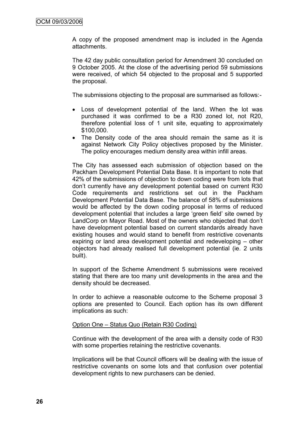A copy of the proposed amendment map is included in the Agenda attachments.

The 42 day public consultation period for Amendment 30 concluded on 9 October 2005. At the close of the advertising period 59 submissions were received, of which 54 objected to the proposal and 5 supported the proposal.

The submissions objecting to the proposal are summarised as follows:-

- Loss of development potential of the land. When the lot was purchased it was confirmed to be a R30 zoned lot, not R20, therefore potential loss of 1 unit site, equating to approximately \$100,000.
- The Density code of the area should remain the same as it is against Network City Policy objectives proposed by the Minister. The policy encourages medium density area within infill areas.

The City has assessed each submission of objection based on the Packham Development Potential Data Base. It is important to note that 42% of the submissions of objection to down coding were from lots that don"t currently have any development potential based on current R30 Code requirements and restrictions set out in the Packham Development Potential Data Base. The balance of 58% of submissions would be affected by the down coding proposal in terms of reduced development potential that includes a large "green field" site owned by LandCorp on Mayor Road. Most of the owners who objected that don"t have development potential based on current standards already have existing houses and would stand to benefit from restrictive covenants expiring or land area development potential and redeveloping – other objectors had already realised full development potential (ie. 2 units built).

In support of the Scheme Amendment 5 submissions were received stating that there are too many unit developments in the area and the density should be decreased.

In order to achieve a reasonable outcome to the Scheme proposal 3 options are presented to Council. Each option has its own different implications as such:

#### Option One – Status Quo (Retain R30 Coding)

Continue with the development of the area with a density code of R30 with some properties retaining the restrictive covenants.

Implications will be that Council officers will be dealing with the issue of restrictive covenants on some lots and that confusion over potential development rights to new purchasers can be denied.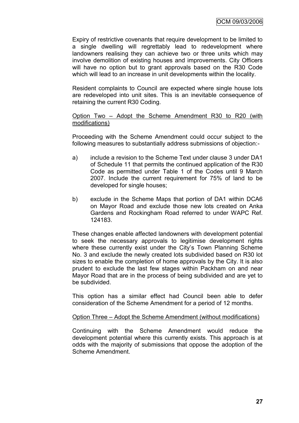Expiry of restrictive covenants that require development to be limited to a single dwelling will regrettably lead to redevelopment where landowners realising they can achieve two or three units which may involve demolition of existing houses and improvements. City Officers will have no option but to grant approvals based on the R30 Code which will lead to an increase in unit developments within the locality.

Resident complaints to Council are expected where single house lots are redeveloped into unit sites. This is an inevitable consequence of retaining the current R30 Coding.

#### Option Two – Adopt the Scheme Amendment R30 to R20 (with modifications)

Proceeding with the Scheme Amendment could occur subject to the following measures to substantially address submissions of objection:-

- a) include a revision to the Scheme Text under clause 3 under DA1 of Schedule 11 that permits the continued application of the R30 Code as permitted under Table 1 of the Codes until 9 March 2007. Include the current requirement for 75% of land to be developed for single houses;
- b) exclude in the Scheme Maps that portion of DA1 within DCA6 on Mayor Road and exclude those new lots created on Anka Gardens and Rockingham Road referred to under WAPC Ref. 124183.

These changes enable affected landowners with development potential to seek the necessary approvals to legitimise development rights where these currently exist under the City's Town Planning Scheme No. 3 and exclude the newly created lots subdivided based on R30 lot sizes to enable the completion of home approvals by the City. It is also prudent to exclude the last few stages within Packham on and near Mayor Road that are in the process of being subdivided and are yet to be subdivided.

This option has a similar effect had Council been able to defer consideration of the Scheme Amendment for a period of 12 months.

#### Option Three – Adopt the Scheme Amendment (without modifications)

Continuing with the Scheme Amendment would reduce the development potential where this currently exists. This approach is at odds with the majority of submissions that oppose the adoption of the Scheme Amendment.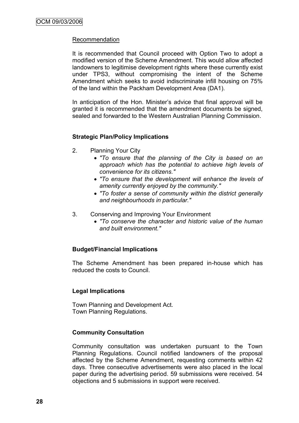## Recommendation

It is recommended that Council proceed with Option Two to adopt a modified version of the Scheme Amendment. This would allow affected landowners to legitimise development rights where these currently exist under TPS3, without compromising the intent of the Scheme Amendment which seeks to avoid indiscriminate infill housing on 75% of the land within the Packham Development Area (DA1).

In anticipation of the Hon. Minister's advice that final approval will be granted it is recommended that the amendment documents be signed, sealed and forwarded to the Western Australian Planning Commission.

#### **Strategic Plan/Policy Implications**

- 2. Planning Your City
	- *"To ensure that the planning of the City is based on an approach which has the potential to achieve high levels of convenience for its citizens."*
	- *"To ensure that the development will enhance the levels of amenity currently enjoyed by the community."*
	- *"To foster a sense of community within the district generally and neighbourhoods in particular."*
- 3. Conserving and Improving Your Environment
	- *"To conserve the character and historic value of the human and built environment."*

#### **Budget/Financial Implications**

The Scheme Amendment has been prepared in-house which has reduced the costs to Council.

#### **Legal Implications**

Town Planning and Development Act. Town Planning Regulations.

#### **Community Consultation**

Community consultation was undertaken pursuant to the Town Planning Regulations. Council notified landowners of the proposal affected by the Scheme Amendment, requesting comments within 42 days. Three consecutive advertisements were also placed in the local paper during the advertising period. 59 submissions were received. 54 objections and 5 submissions in support were received.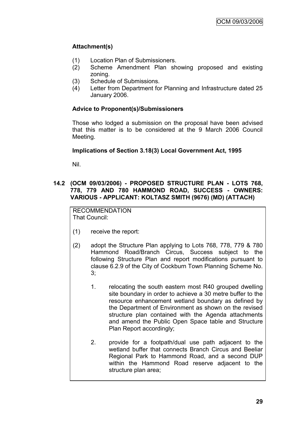# **Attachment(s)**

- (1) Location Plan of Submissioners.
- (2) Scheme Amendment Plan showing proposed and existing zoning.
- (3) Schedule of Submissions.
- (4) Letter from Department for Planning and Infrastructure dated 25 January 2006.

# **Advice to Proponent(s)/Submissioners**

Those who lodged a submission on the proposal have been advised that this matter is to be considered at the 9 March 2006 Council Meeting.

# **Implications of Section 3.18(3) Local Government Act, 1995**

Nil.

# **14.2 (OCM 09/03/2006) - PROPOSED STRUCTURE PLAN - LOTS 768, 778, 779 AND 780 HAMMOND ROAD, SUCCESS - OWNERS: VARIOUS - APPLICANT: KOLTASZ SMITH (9676) (MD) (ATTACH)**

RECOMMENDATION That Council:

- (1) receive the report:
- (2) adopt the Structure Plan applying to Lots 768, 778, 779 & 780 Hammond Road/Branch Circus, Success subject to the following Structure Plan and report modifications pursuant to clause 6.2.9 of the City of Cockburn Town Planning Scheme No. 3;
	- 1. relocating the south eastern most R40 grouped dwelling site boundary in order to achieve a 30 metre buffer to the resource enhancement wetland boundary as defined by the Department of Environment as shown on the revised structure plan contained with the Agenda attachments and amend the Public Open Space table and Structure Plan Report accordingly;
	- 2. provide for a footpath/dual use path adjacent to the wetland buffer that connects Branch Circus and Beeliar Regional Park to Hammond Road, and a second DUP within the Hammond Road reserve adjacent to the structure plan area;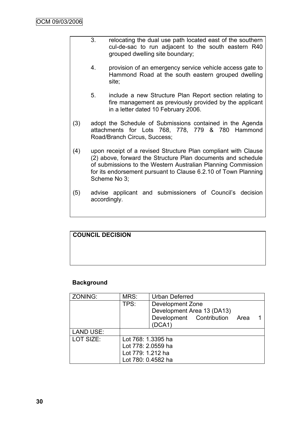- 3. relocating the dual use path located east of the southern cul-de-sac to run adjacent to the south eastern R40 grouped dwelling site boundary;
	- 4. provision of an emergency service vehicle access gate to Hammond Road at the south eastern grouped dwelling site;
- 5. include a new Structure Plan Report section relating to fire management as previously provided by the applicant in a letter dated 10 February 2006.
- (3) adopt the Schedule of Submissions contained in the Agenda attachments for Lots 768, 778, 779 & 780 Hammond Road/Branch Circus, Success;
- (4) upon receipt of a revised Structure Plan compliant with Clause (2) above, forward the Structure Plan documents and schedule of submissions to the Western Australian Planning Commission for its endorsement pursuant to Clause 6.2.10 of Town Planning Scheme No 3;
- (5) advise applicant and submissioners of Council"s decision accordingly.

# **COUNCIL DECISION**

# **Background**

| ZONING:          | MRS:               | <b>Urban Deferred</b>         |  |  |  |
|------------------|--------------------|-------------------------------|--|--|--|
|                  | TPS:               | Development Zone              |  |  |  |
|                  |                    | Development Area 13 (DA13)    |  |  |  |
|                  |                    | Development Contribution Area |  |  |  |
|                  |                    | (DCA1)                        |  |  |  |
| <b>LAND USE:</b> |                    |                               |  |  |  |
| LOT SIZE:        | Lot 768: 1.3395 ha |                               |  |  |  |
|                  | Lot 778: 2.0559 ha |                               |  |  |  |
|                  | Lot 779: 1.212 ha  |                               |  |  |  |
|                  | Lot 780: 0.4582 ha |                               |  |  |  |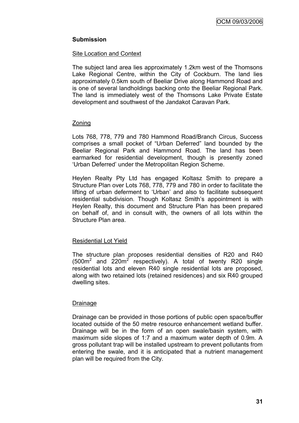# **Submission**

#### Site Location and Context

The subject land area lies approximately 1.2km west of the Thomsons Lake Regional Centre, within the City of Cockburn. The land lies approximately 0.5km south of Beeliar Drive along Hammond Road and is one of several landholdings backing onto the Beeliar Regional Park. The land is immediately west of the Thomsons Lake Private Estate development and southwest of the Jandakot Caravan Park.

#### **Zoning**

Lots 768, 778, 779 and 780 Hammond Road/Branch Circus, Success comprises a small pocket of "Urban Deferred" land bounded by the Beeliar Regional Park and Hammond Road. The land has been earmarked for residential development, though is presently zoned "Urban Deferred" under the Metropolitan Region Scheme.

Heylen Realty Pty Ltd has engaged Koltasz Smith to prepare a Structure Plan over Lots 768, 778, 779 and 780 in order to facilitate the lifting of urban deferment to "Urban" and also to facilitate subsequent residential subdivision. Though Koltasz Smith's appointment is with Heylen Realty, this document and Structure Plan has been prepared on behalf of, and in consult with, the owners of all lots within the Structure Plan area.

#### Residential Lot Yield

The structure plan proposes residential densities of R20 and R40  $(500m^2$  and  $220m^2$  respectively). A total of twenty R20 single residential lots and eleven R40 single residential lots are proposed, along with two retained lots (retained residences) and six R40 grouped dwelling sites.

#### Drainage

Drainage can be provided in those portions of public open space/buffer located outside of the 50 metre resource enhancement wetland buffer. Drainage will be in the form of an open swale/basin system, with maximum side slopes of 1:7 and a maximum water depth of 0.9m. A gross pollutant trap will be installed upstream to prevent pollutants from entering the swale, and it is anticipated that a nutrient management plan will be required from the City.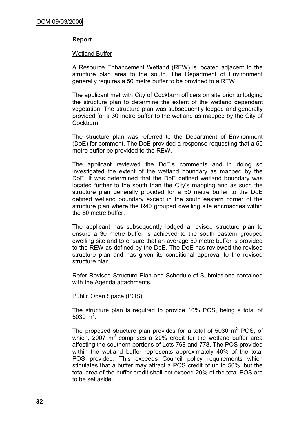## **Report**

#### Wetland Buffer

A Resource Enhancement Wetland (REW) is located adjacent to the structure plan area to the south. The Department of Environment generally requires a 50 metre buffer to be provided to a REW.

The applicant met with City of Cockburn officers on site prior to lodging the structure plan to determine the extent of the wetland dependant vegetation. The structure plan was subsequently lodged and generally provided for a 30 metre buffer to the wetland as mapped by the City of Cockburn.

The structure plan was referred to the Department of Environment (DoE) for comment. The DoE provided a response requesting that a 50 metre buffer be provided to the REW.

The applicant reviewed the DoE"s comments and in doing so investigated the extent of the wetland boundary as mapped by the DoE. It was determined that the DoE defined wetland boundary was located further to the south than the City"s mapping and as such the structure plan generally provided for a 50 metre buffer to the DoE defined wetland boundary except in the south eastern corner of the structure plan where the R40 grouped dwelling site encroaches within the 50 metre buffer.

The applicant has subsequently lodged a revised structure plan to ensure a 30 metre buffer is achieved to the south eastern grouped dwelling site and to ensure that an average 50 metre buffer is provided to the REW as defined by the DoE. The DoE has reviewed the revised structure plan and has given its conditional approval to the revised structure plan.

Refer Revised Structure Plan and Schedule of Submissions contained with the Agenda attachments.

#### Public Open Space (POS)

The structure plan is required to provide 10% POS, being a total of 5030 $m^2$ .

The proposed structure plan provides for a total of 5030  $m^2$  POS, of which, 2007  $m^2$  comprises a 20% credit for the wetland buffer area affecting the southern portions of Lots 768 and 778. The POS provided within the wetland buffer represents approximately 40% of the total POS provided. This exceeds Council policy requirements which stipulates that a buffer may attract a POS credit of up to 50%, but the total area of the buffer credit shall not exceed 20% of the total POS are to be set aside.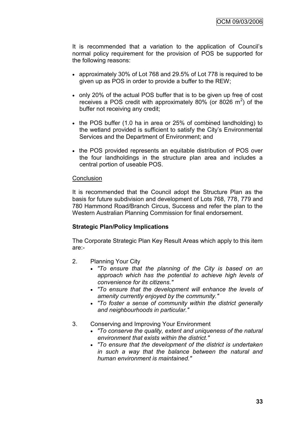It is recommended that a variation to the application of Council"s normal policy requirement for the provision of POS be supported for the following reasons:

- approximately 30% of Lot 768 and 29.5% of Lot 778 is required to be given up as POS in order to provide a buffer to the REW;
- only 20% of the actual POS buffer that is to be given up free of cost receives a POS credit with approximately 80% (or 8026  $m^2$ ) of the buffer not receiving any credit;
- the POS buffer (1.0 ha in area or 25% of combined landholding) to the wetland provided is sufficient to satisfy the City"s Environmental Services and the Department of Environment; and
- the POS provided represents an equitable distribution of POS over the four landholdings in the structure plan area and includes a central portion of useable POS.

#### **Conclusion**

It is recommended that the Council adopt the Structure Plan as the basis for future subdivision and development of Lots 768, 778, 779 and 780 Hammond Road/Branch Circus, Success and refer the plan to the Western Australian Planning Commission for final endorsement.

## **Strategic Plan/Policy Implications**

The Corporate Strategic Plan Key Result Areas which apply to this item are:-

- 2. Planning Your City
	- *"To ensure that the planning of the City is based on an approach which has the potential to achieve high levels of convenience for its citizens."*
	- *"To ensure that the development will enhance the levels of amenity currently enjoyed by the community."*
	- *"To foster a sense of community within the district generally and neighbourhoods in particular."*
- 3. Conserving and Improving Your Environment
	- *"To conserve the quality, extent and uniqueness of the natural environment that exists within the district."*
	- *"To ensure that the development of the district is undertaken in such a way that the balance between the natural and human environment is maintained."*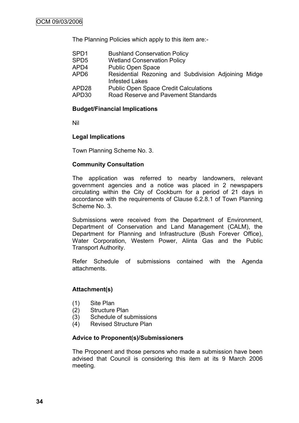The Planning Policies which apply to this item are:-

| SPD1  | <b>Bushland Conservation Policy</b>                  |
|-------|------------------------------------------------------|
| SPD5  | <b>Wetland Conservation Policy</b>                   |
| APD4  | <b>Public Open Space</b>                             |
| APD6  | Residential Rezoning and Subdivision Adjoining Midge |
|       | <b>Infested Lakes</b>                                |
| APD28 | <b>Public Open Space Credit Calculations</b>         |
| APD30 | Road Reserve and Pavement Standards                  |

## **Budget/Financial Implications**

Nil

## **Legal Implications**

Town Planning Scheme No. 3.

## **Community Consultation**

The application was referred to nearby landowners, relevant government agencies and a notice was placed in 2 newspapers circulating within the City of Cockburn for a period of 21 days in accordance with the requirements of Clause 6.2.8.1 of Town Planning Scheme No. 3.

Submissions were received from the Department of Environment, Department of Conservation and Land Management (CALM), the Department for Planning and Infrastructure (Bush Forever Office), Water Corporation, Western Power, Alinta Gas and the Public Transport Authority.

Refer Schedule of submissions contained with the Agenda attachments.

## **Attachment(s)**

- (1) Site Plan
- (2) Structure Plan
- (3) Schedule of submissions
- (4) Revised Structure Plan

## **Advice to Proponent(s)/Submissioners**

The Proponent and those persons who made a submission have been advised that Council is considering this item at its 9 March 2006 meeting.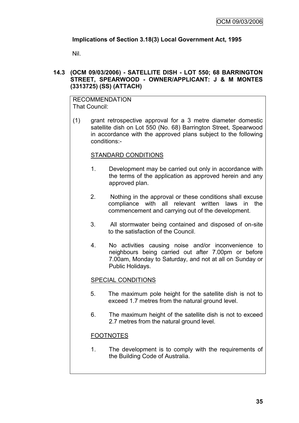## **Implications of Section 3.18(3) Local Government Act, 1995**

Nil.

## **14.3 (OCM 09/03/2006) - SATELLITE DISH - LOT 550; 68 BARRINGTON STREET, SPEARWOOD - OWNER/APPLICANT: J & M MONTES (3313725) (SS) (ATTACH)**

RECOMMENDATION That Council:

(1) grant retrospective approval for a 3 metre diameter domestic satellite dish on Lot 550 (No. 68) Barrington Street, Spearwood in accordance with the approved plans subject to the following conditions:-

## STANDARD CONDITIONS

- 1. Development may be carried out only in accordance with the terms of the application as approved herein and any approved plan.
- 2. Nothing in the approval or these conditions shall excuse compliance with all relevant written laws in the commencement and carrying out of the development.
- 3. All stormwater being contained and disposed of on-site to the satisfaction of the Council.
- 4. No activities causing noise and/or inconvenience to neighbours being carried out after 7.00pm or before 7.00am, Monday to Saturday, and not at all on Sunday or Public Holidays.

## SPECIAL CONDITIONS

- 5. The maximum pole height for the satellite dish is not to exceed 1.7 metres from the natural ground level.
- 6. The maximum height of the satellite dish is not to exceed 2.7 metres from the natural ground level.

## FOOTNOTES

1. The development is to comply with the requirements of the Building Code of Australia.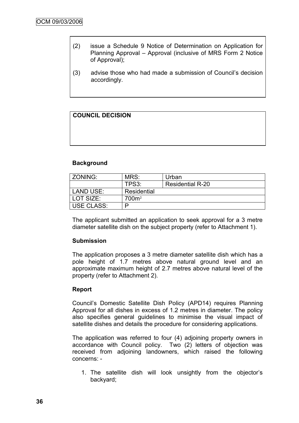- (2) issue a Schedule 9 Notice of Determination on Application for Planning Approval – Approval (inclusive of MRS Form 2 Notice of Approval);
- (3) advise those who had made a submission of Council"s decision accordingly.

## **COUNCIL DECISION**

## **Background**

| ZONING:      | MRS:              | Urban                   |
|--------------|-------------------|-------------------------|
|              | TPS3:             | <b>Residential R-20</b> |
| l LAND USE:  | Residential       |                         |
| LOT SIZE:    | 700m <sup>2</sup> |                         |
| I USE CLASS: |                   |                         |

The applicant submitted an application to seek approval for a 3 metre diameter satellite dish on the subject property (refer to Attachment 1).

#### **Submission**

The application proposes a 3 metre diameter satellite dish which has a pole height of 1.7 metres above natural ground level and an approximate maximum height of 2.7 metres above natural level of the property (refer to Attachment 2).

## **Report**

Council"s Domestic Satellite Dish Policy (APD14) requires Planning Approval for all dishes in excess of 1.2 metres in diameter. The policy also specifies general guidelines to minimise the visual impact of satellite dishes and details the procedure for considering applications.

The application was referred to four (4) adjoining property owners in accordance with Council policy. Two (2) letters of objection was received from adjoining landowners, which raised the following concerns: -

1. The satellite dish will look unsightly from the objector"s backyard;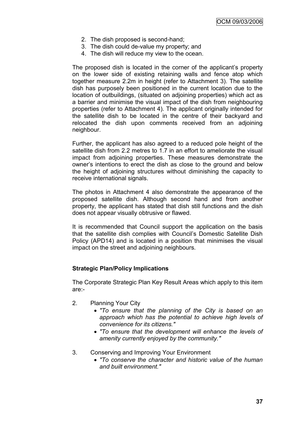- 2. The dish proposed is second-hand;
- 3. The dish could de-value my property; and
- 4. The dish will reduce my view to the ocean.

The proposed dish is located in the corner of the applicant's property on the lower side of existing retaining walls and fence atop which together measure 2.2m in height (refer to Attachment 3). The satellite dish has purposely been positioned in the current location due to the location of outbuildings, (situated on adjoining properties) which act as a barrier and minimise the visual impact of the dish from neighbouring properties (refer to Attachment 4). The applicant originally intended for the satellite dish to be located in the centre of their backyard and relocated the dish upon comments received from an adjoining neighbour.

Further, the applicant has also agreed to a reduced pole height of the satellite dish from 2.2 metres to 1.7 in an effort to ameliorate the visual impact from adjoining properties. These measures demonstrate the owner"s intentions to erect the dish as close to the ground and below the height of adjoining structures without diminishing the capacity to receive international signals.

The photos in Attachment 4 also demonstrate the appearance of the proposed satellite dish. Although second hand and from another property, the applicant has stated that dish still functions and the dish does not appear visually obtrusive or flawed.

It is recommended that Council support the application on the basis that the satellite dish complies with Council"s Domestic Satellite Dish Policy (APD14) and is located in a position that minimises the visual impact on the street and adjoining neighbours.

## **Strategic Plan/Policy Implications**

The Corporate Strategic Plan Key Result Areas which apply to this item are:-

- 2. Planning Your City
	- *"To ensure that the planning of the City is based on an approach which has the potential to achieve high levels of convenience for its citizens."*
	- *"To ensure that the development will enhance the levels of amenity currently enjoyed by the community."*
- 3. Conserving and Improving Your Environment
	- *"To conserve the character and historic value of the human and built environment."*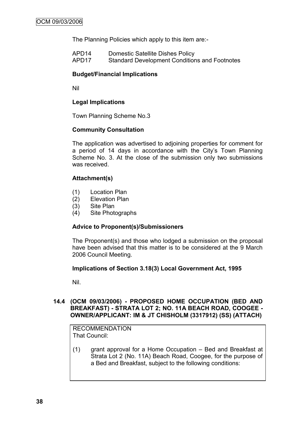The Planning Policies which apply to this item are:-

| APD <sub>14</sub> | <b>Domestic Satellite Dishes Policy</b>              |
|-------------------|------------------------------------------------------|
| APD <sub>17</sub> | <b>Standard Development Conditions and Footnotes</b> |

## **Budget/Financial Implications**

Nil

## **Legal Implications**

Town Planning Scheme No.3

## **Community Consultation**

The application was advertised to adjoining properties for comment for a period of 14 days in accordance with the City's Town Planning Scheme No. 3. At the close of the submission only two submissions was received.

## **Attachment(s)**

- (1) Location Plan
- (2) Elevation Plan
- (3) Site Plan
- (4) Site Photographs

## **Advice to Proponent(s)/Submissioners**

The Proponent(s) and those who lodged a submission on the proposal have been advised that this matter is to be considered at the 9 March 2006 Council Meeting.

## **Implications of Section 3.18(3) Local Government Act, 1995**

Nil.

## **14.4 (OCM 09/03/2006) - PROPOSED HOME OCCUPATION (BED AND BREAKFAST) - STRATA LOT 2; NO. 11A BEACH ROAD, COOGEE - OWNER/APPLICANT: IM & JT CHISHOLM (3317912) (SS) (ATTACH)**

RECOMMENDATION That Council:

(1) grant approval for a Home Occupation – Bed and Breakfast at Strata Lot 2 (No. 11A) Beach Road, Coogee, for the purpose of a Bed and Breakfast, subject to the following conditions: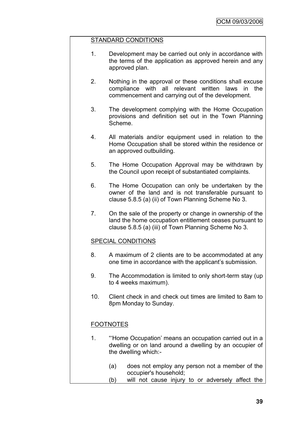## STANDARD CONDITIONS

- 1. Development may be carried out only in accordance with the terms of the application as approved herein and any approved plan.
- 2. Nothing in the approval or these conditions shall excuse compliance with all relevant written laws in the commencement and carrying out of the development.
- 3. The development complying with the Home Occupation provisions and definition set out in the Town Planning Scheme.
- 4. All materials and/or equipment used in relation to the Home Occupation shall be stored within the residence or an approved outbuilding.
- 5. The Home Occupation Approval may be withdrawn by the Council upon receipt of substantiated complaints.
- 6. The Home Occupation can only be undertaken by the owner of the land and is not transferable pursuant to clause 5.8.5 (a) (ii) of Town Planning Scheme No 3.
- 7. On the sale of the property or change in ownership of the land the home occupation entitlement ceases pursuant to clause 5.8.5 (a) (iii) of Town Planning Scheme No 3.

## SPECIAL CONDITIONS

- 8. A maximum of 2 clients are to be accommodated at any one time in accordance with the applicant's submission.
- 9. The Accommodation is limited to only short-term stay (up to 4 weeks maximum).
- 10. Client check in and check out times are limited to 8am to 8pm Monday to Sunday.

## **FOOTNOTES**

- 1. ""Home Occupation" means an occupation carried out in a dwelling or on land around a dwelling by an occupier of the dwelling which:-
	- (a) does not employ any person not a member of the occupier's household;
	- (b) will not cause injury to or adversely affect the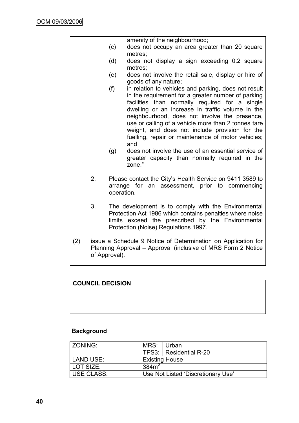|     |               | amenity of the neighbourhood;                                                                                                                                                                                                                                                                                                                                                                                                                                                                                                                              |
|-----|---------------|------------------------------------------------------------------------------------------------------------------------------------------------------------------------------------------------------------------------------------------------------------------------------------------------------------------------------------------------------------------------------------------------------------------------------------------------------------------------------------------------------------------------------------------------------------|
|     | (c)           | does not occupy an area greater than 20 square<br>metres:                                                                                                                                                                                                                                                                                                                                                                                                                                                                                                  |
|     | (d)           | does not display a sign exceeding 0.2 square<br>metres;                                                                                                                                                                                                                                                                                                                                                                                                                                                                                                    |
|     | (e)           | does not involve the retail sale, display or hire of<br>goods of any nature;                                                                                                                                                                                                                                                                                                                                                                                                                                                                               |
|     | (f)<br>(g)    | in relation to vehicles and parking, does not result<br>in the requirement for a greater number of parking<br>facilities than normally required for a single<br>dwelling or an increase in traffic volume in the<br>neighbourhood, does not involve the presence,<br>use or calling of a vehicle more than 2 tonnes tare<br>weight, and does not include provision for the<br>fuelling, repair or maintenance of motor vehicles;<br>and<br>does not involve the use of an essential service of<br>greater capacity than normally required in the<br>zone." |
| 2.  | operation.    | Please contact the City's Health Service on 9411 3589 to<br>arrange for an assessment, prior to commencing                                                                                                                                                                                                                                                                                                                                                                                                                                                 |
| 3.  |               | The development is to comply with the Environmental<br>Protection Act 1986 which contains penalties where noise<br>limits exceed the prescribed by the Environmental<br>Protection (Noise) Regulations 1997.                                                                                                                                                                                                                                                                                                                                               |
| (2) | of Approval). | issue a Schedule 9 Notice of Determination on Application for<br>Planning Approval - Approval (inclusive of MRS Form 2 Notice                                                                                                                                                                                                                                                                                                                                                                                                                              |

# **COUNCIL DECISION**

# **Background**

| ZONING:     | MRS: Urban        |                                    |
|-------------|-------------------|------------------------------------|
|             |                   | TPS3:   Residential R-20           |
| LAND USE:   |                   | <b>Existing House</b>              |
| l LOT SIZE: | 384m <sup>2</sup> |                                    |
| USE CLASS:  |                   | Use Not Listed 'Discretionary Use' |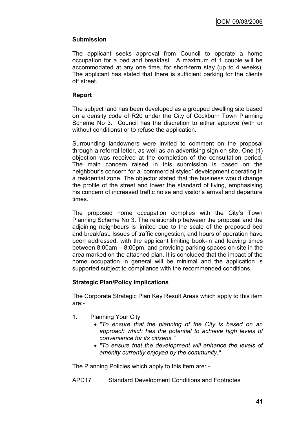## **Submission**

The applicant seeks approval from Council to operate a home occupation for a bed and breakfast. A maximum of 1 couple will be accommodated at any one time, for short-term stay (up to 4 weeks). The applicant has stated that there is sufficient parking for the clients off street.

## **Report**

The subject land has been developed as a grouped dwelling site based on a density code of R20 under the City of Cockburn Town Planning Scheme No 3. Council has the discretion to either approve (with or without conditions) or to refuse the application.

Surrounding landowners were invited to comment on the proposal through a referral letter, as well as an advertising sign on site. One (1) objection was received at the completion of the consultation period. The main concern raised in this submission is based on the neighbour"s concern for a "commercial styled" development operating in a residential zone. The objector stated that the business would change the profile of the street and lower the standard of living, emphasising his concern of increased traffic noise and visitor's arrival and departure times.

The proposed home occupation complies with the City's Town Planning Scheme No 3. The relationship between the proposal and the adjoining neighbours is limited due to the scale of the proposed bed and breakfast. Issues of traffic congestion, and hours of operation have been addressed, with the applicant limiting book-in and leaving times between 8:00am – 8:00pm, and providing parking spaces on-site in the area marked on the attached plan. It is concluded that the impact of the home occupation in general will be minimal and the application is supported subject to compliance with the recommended conditions.

## **Strategic Plan/Policy Implications**

The Corporate Strategic Plan Key Result Areas which apply to this item are:-

- 1. Planning Your City
	- *"To ensure that the planning of the City is based on an approach which has the potential to achieve high levels of convenience for its citizens."*
	- *"To ensure that the development will enhance the levels of amenity currently enjoyed by the community."*

The Planning Policies which apply to this item are: -

APD17 Standard Development Conditions and Footnotes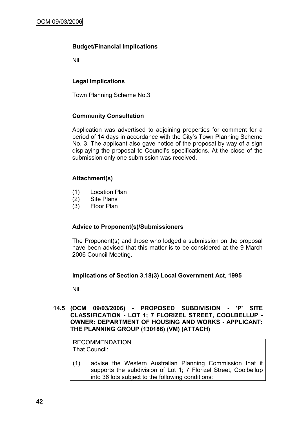## **Budget/Financial Implications**

Nil

## **Legal Implications**

Town Planning Scheme No.3

## **Community Consultation**

Application was advertised to adjoining properties for comment for a period of 14 days in accordance with the City"s Town Planning Scheme No. 3. The applicant also gave notice of the proposal by way of a sign displaying the proposal to Council"s specifications. At the close of the submission only one submission was received.

## **Attachment(s)**

- (1) Location Plan
- (2) Site Plans
- (3) Floor Plan

## **Advice to Proponent(s)/Submissioners**

The Proponent(s) and those who lodged a submission on the proposal have been advised that this matter is to be considered at the 9 March 2006 Council Meeting.

## **Implications of Section 3.18(3) Local Government Act, 1995**

Nil.

### **14.5 (OCM 09/03/2006) - PROPOSED SUBDIVISION - 'P' SITE CLASSIFICATION - LOT 1; 7 FLORIZEL STREET, COOLBELLUP - OWNER: DEPARTMENT OF HOUSING AND WORKS - APPLICANT: THE PLANNING GROUP (130186) (VM) (ATTACH)**

RECOMMENDATION That Council:

(1) advise the Western Australian Planning Commission that it supports the subdivision of Lot 1; 7 Florizel Street, Coolbellup into 36 lots subject to the following conditions: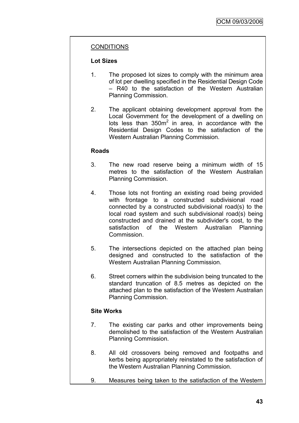## CONDITIONS

## **Lot Sizes**

- 1. The proposed lot sizes to comply with the minimum area of lot per dwelling specified in the Residential Design Code – R40 to the satisfaction of the Western Australian Planning Commission.
- 2. The applicant obtaining development approval from the Local Government for the development of a dwelling on lots less than  $350m^2$  in area, in accordance with the Residential Design Codes to the satisfaction of the Western Australian Planning Commission.

#### **Roads**

- 3. The new road reserve being a minimum width of 15 metres to the satisfaction of the Western Australian Planning Commission.
- 4. Those lots not fronting an existing road being provided with frontage to a constructed subdivisional road connected by a constructed subdivisional road(s) to the local road system and such subdivisional road(s) being constructed and drained at the subdivider's cost, to the satisfaction of the Western Australian Planning **Commission**
- 5. The intersections depicted on the attached plan being designed and constructed to the satisfaction of the Western Australian Planning Commission.
- 6. Street corners within the subdivision being truncated to the standard truncation of 8.5 metres as depicted on the attached plan to the satisfaction of the Western Australian Planning Commission.

## **Site Works**

- 7. The existing car parks and other improvements being demolished to the satisfaction of the Western Australian Planning Commission.
- 8. All old crossovers being removed and footpaths and kerbs being appropriately reinstated to the satisfaction of the Western Australian Planning Commission.
- 9. Measures being taken to the satisfaction of the Western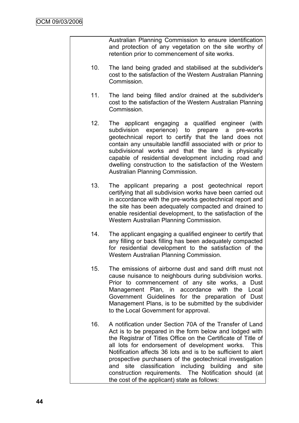Australian Planning Commission to ensure identification and protection of any vegetation on the site worthy of retention prior to commencement of site works.

- 10. The land being graded and stabilised at the subdivider's cost to the satisfaction of the Western Australian Planning Commission.
- 11. The land being filled and/or drained at the subdivider's cost to the satisfaction of the Western Australian Planning Commission.
- 12. The applicant engaging a qualified engineer (with subdivision experience) to prepare a pre-works geotechnical report to certify that the land does not contain any unsuitable landfill associated with or prior to subdivisional works and that the land is physically capable of residential development including road and dwelling construction to the satisfaction of the Western Australian Planning Commission.
- 13. The applicant preparing a post geotechnical report certifying that all subdivision works have been carried out in accordance with the pre-works geotechnical report and the site has been adequately compacted and drained to enable residential development, to the satisfaction of the Western Australian Planning Commission.
- 14. The applicant engaging a qualified engineer to certify that any filling or back filling has been adequately compacted for residential development to the satisfaction of the Western Australian Planning Commission.
- 15. The emissions of airborne dust and sand drift must not cause nuisance to neighbours during subdivision works. Prior to commencement of any site works, a Dust Management Plan, in accordance with the Local Government Guidelines for the preparation of Dust Management Plans, is to be submitted by the subdivider to the Local Government for approval.
- 16. A notification under Section 70A of the Transfer of Land Act is to be prepared in the form below and lodged with the Registrar of Titles Office on the Certificate of Title of all lots for endorsement of development works. This Notification affects 36 lots and is to be sufficient to alert prospective purchasers of the geotechnical investigation and site classification including building and site construction requirements. The Notification should (at the cost of the applicant) state as follows: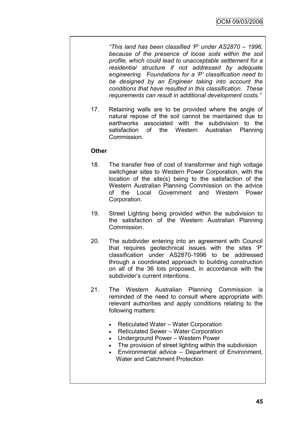*"This land has been classified "P" under AS2870 – 1996, because of the presence of loose soils within the soil profile, which could lead to unacceptable settlement for a residential structure if not addressed by adequate engineering. Foundations for a "P" classification need to be designed by an Engineer taking into account the conditions that have resulted in this classification. These requirements can result in additional development costs."*

17. Retaining walls are to be provided where the angle of natural repose of the soil cannot be maintained due to earthworks associated with the subdivision to the satisfaction of the Western Australian Planning Commission.

## **Other**

- 18. The transfer free of cost of transformer and high voltage switchgear sites to Western Power Corporation, with the location of the site(s) being to the satisfaction of the Western Australian Planning Commission on the advice of the Local Government and Western Power Corporation.
- 19. Street Lighting being provided within the subdivision to the satisfaction of the Western Australian Planning **Commission**
- 20. The subdivider entering into an agreement with Council that requires geotechnical issues with the sites "P" classification under AS2870-1996 to be addressed through a coordinated approach to building construction on all of the 36 lots proposed, in accordance with the subdivider"s current intentions.
- 21. The Western Australian Planning Commission is reminded of the need to consult where appropriate with relevant authorities and apply conditions relating to the following matters:
	- Reticulated Water Water Corporation
	- Reticulated Sewer Water Corporation
	- Underground Power Western Power
	- The provision of street lighting within the subdivision
	- Environmental advice Department of Environment, Water and Catchment Protection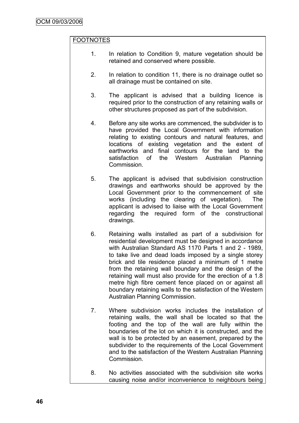## FOOTNOTES

- 1. In relation to Condition 9, mature vegetation should be retained and conserved where possible.
- 2. In relation to condition 11, there is no drainage outlet so all drainage must be contained on site.
- 3. The applicant is advised that a building licence is required prior to the construction of any retaining walls or other structures proposed as part of the subdivision.
- 4. Before any site works are commenced, the subdivider is to have provided the Local Government with information relating to existing contours and natural features, and locations of existing vegetation and the extent of earthworks and final contours for the land to the satisfaction of the Western Australian Planning Commission.
- 5. The applicant is advised that subdivision construction drawings and earthworks should be approved by the Local Government prior to the commencement of site works (including the clearing of vegetation). The applicant is advised to liaise with the Local Government regarding the required form of the constructional drawings.
- 6. Retaining walls installed as part of a subdivision for residential development must be designed in accordance with Australian Standard AS 1170 Parts 1 and 2 - 1989, to take live and dead loads imposed by a single storey brick and tile residence placed a minimum of 1 metre from the retaining wall boundary and the design of the retaining wall must also provide for the erection of a 1.8 metre high fibre cement fence placed on or against all boundary retaining walls to the satisfaction of the Western Australian Planning Commission.
- 7. Where subdivision works includes the installation of retaining walls, the wall shall be located so that the footing and the top of the wall are fully within the boundaries of the lot on which it is constructed, and the wall is to be protected by an easement, prepared by the subdivider to the requirements of the Local Government and to the satisfaction of the Western Australian Planning Commission.
- 8. No activities associated with the subdivision site works causing noise and/or inconvenience to neighbours being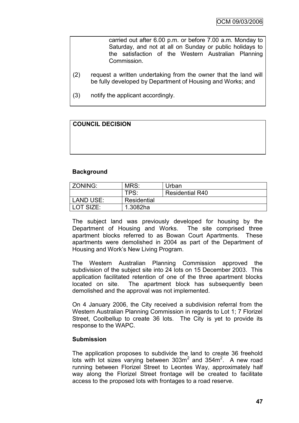carried out after 6.00 p.m. or before 7.00 a.m. Monday to Saturday, and not at all on Sunday or public holidays to the satisfaction of the Western Australian Planning Commission.

- (2) request a written undertaking from the owner that the land will be fully developed by Department of Housing and Works; and
- (3) notify the applicant accordingly.

## **COUNCIL DECISION**

## **Background**

| ZONING:     | MRS:             | Urban                  |
|-------------|------------------|------------------------|
|             | TPS <sup>.</sup> | <b>Residential R40</b> |
| LAND USE:   | Residential      |                        |
| l LOT SIZE: | 1.3082ha         |                        |

The subject land was previously developed for housing by the Department of Housing and Works. The site comprised three apartment blocks referred to as Bowan Court Apartments. These apartments were demolished in 2004 as part of the Department of Housing and Work"s New Living Program.

The Western Australian Planning Commission approved the subdivision of the subject site into 24 lots on 15 December 2003. This application facilitated retention of one of the three apartment blocks located on site. The apartment block has subsequently been demolished and the approval was not implemented.

On 4 January 2006, the City received a subdivision referral from the Western Australian Planning Commission in regards to Lot 1; 7 Florizel Street, Coolbellup to create 36 lots. The City is yet to provide its response to the WAPC.

## **Submission**

The application proposes to subdivide the land to create 36 freehold lots with lot sizes varying between  $303m^2$  and  $354m^2$ . A new road running between Florizel Street to Leontes Way, approximately half way along the Florizel Street frontage will be created to facilitate access to the proposed lots with frontages to a road reserve.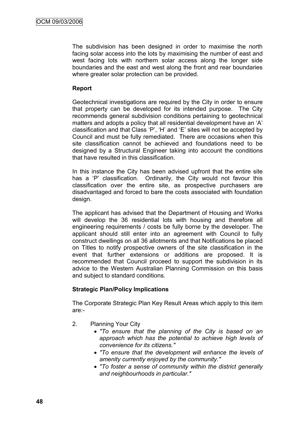The subdivision has been designed in order to maximise the north facing solar access into the lots by maximising the number of east and west facing lots with northern solar access along the longer side boundaries and the east and west along the front and rear boundaries where greater solar protection can be provided.

## **Report**

Geotechnical investigations are required by the City in order to ensure that property can be developed for its intended purpose. The City recommends general subdivision conditions pertaining to geotechnical matters and adopts a policy that all residential development have an 'A' classification and that Class "P", "H" and "E" sites will not be accepted by Council and must be fully remediated. There are occasions when this site classification cannot be achieved and foundations need to be designed by a Structural Engineer taking into account the conditions that have resulted in this classification.

In this instance the City has been advised upfront that the entire site has a 'P' classification. Ordinarily, the City would not favour this classification over the entire site, as prospective purchasers are disadvantaged and forced to bare the costs associated with foundation design.

The applicant has advised that the Department of Housing and Works will develop the 36 residential lots with housing and therefore all engineering requirements / costs be fully borne by the developer. The applicant should still enter into an agreement with Council to fully construct dwellings on all 36 allotments and that Notifications be placed on Titles to notify prospective owners of the site classification in the event that further extensions or additions are proposed. It is recommended that Council proceed to support the subdivision in its advice to the Western Australian Planning Commission on this basis and subject to standard conditions.

## **Strategic Plan/Policy Implications**

The Corporate Strategic Plan Key Result Areas which apply to this item are:-

- 2. Planning Your City
	- *"To ensure that the planning of the City is based on an approach which has the potential to achieve high levels of convenience for its citizens."*
	- *"To ensure that the development will enhance the levels of amenity currently enjoyed by the community."*
	- *"To foster a sense of community within the district generally and neighbourhoods in particular."*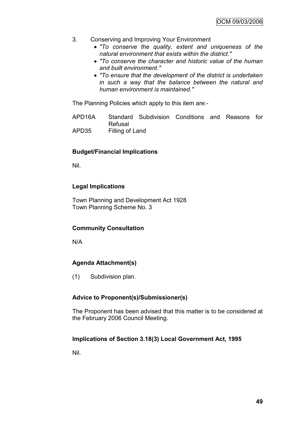- 3. Conserving and Improving Your Environment
	- *"To conserve the quality, extent and uniqueness of the natural environment that exists within the district."*
	- *"To conserve the character and historic value of the human and built environment."*
	- *"To ensure that the development of the district is undertaken in such a way that the balance between the natural and human environment is maintained."*

The Planning Policies which apply to this item are:-

APD16A Standard Subdivision Conditions and Reasons for Refusal APD35 Filling of Land

## **Budget/Financial Implications**

Nil.

## **Legal Implications**

Town Planning and Development Act 1928 Town Planning Scheme No. 3

## **Community Consultation**

N/A

## **Agenda Attachment(s)**

(1) Subdivision plan.

## **Advice to Proponent(s)/Submissioner(s)**

The Proponent has been advised that this matter is to be considered at the February 2006 Council Meeting.

## **Implications of Section 3.18(3) Local Government Act, 1995**

Nil.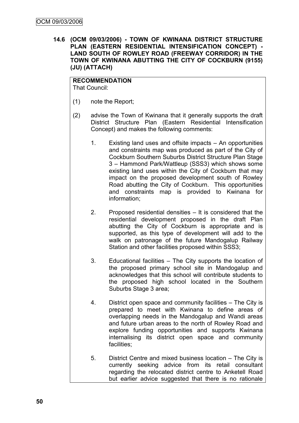**14.6 (OCM 09/03/2006) - TOWN OF KWINANA DISTRICT STRUCTURE PLAN (EASTERN RESIDENTIAL INTENSIFICATION CONCEPT) - LAND SOUTH OF ROWLEY ROAD (FREEWAY CORRIDOR) IN THE TOWN OF KWINANA ABUTTING THE CITY OF COCKBURN (9155) (JU) (ATTACH)**

**RECOMMENDATION** That Council:

- (1) note the Report;
- (2) advise the Town of Kwinana that it generally supports the draft District Structure Plan (Eastern Residential Intensification Concept) and makes the following comments:
	- 1. Existing land uses and offsite impacts An opportunities and constraints map was produced as part of the City of Cockburn Southern Suburbs District Structure Plan Stage 3 – Hammond Park/Wattleup (SSS3) which shows some existing land uses within the City of Cockburn that may impact on the proposed development south of Rowley Road abutting the City of Cockburn. This opportunities and constraints map is provided to Kwinana for information;
	- 2. Proposed residential densities It is considered that the residential development proposed in the draft Plan abutting the City of Cockburn is appropriate and is supported, as this type of development will add to the walk on patronage of the future Mandogalup Railway Station and other facilities proposed within SSS3;
	- 3. Educational facilities The City supports the location of the proposed primary school site in Mandogalup and acknowledges that this school will contribute students to the proposed high school located in the Southern Suburbs Stage 3 area;
	- 4. District open space and community facilities The City is prepared to meet with Kwinana to define areas of overlapping needs in the Mandogalup and Wandi areas and future urban areas to the north of Rowley Road and explore funding opportunities and supports Kwinana internalising its district open space and community facilities;
	- 5. District Centre and mixed business location The City is currently seeking advice from its retail consultant regarding the relocated district centre to Anketell Road but earlier advice suggested that there is no rationale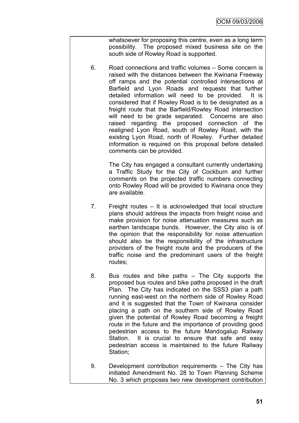whatsoever for proposing this centre, even as a long term possibility. The proposed mixed business site on the south side of Rowley Road is supported.

6. Road connections and traffic volumes – Some concern is raised with the distances between the Kwinana Freeway off ramps and the potential controlled intersections at Barfield and Lyon Roads and requests that further detailed information will need to be provided. It is considered that if Rowley Road is to be designated as a freight route that the Barfield/Rowley Road intersection will need to be grade separated. Concerns are also raised regarding the proposed connection of the realigned Lyon Road, south of Rowley Road, with the existing Lyon Road, north of Rowley. Further detailed information is required on this proposal before detailed comments can be provided.

> The City has engaged a consultant currently undertaking a Traffic Study for the City of Cockburn and further comments on the projected traffic numbers connecting onto Rowley Road will be provided to Kwinana once they are available.

- 7. Freight routes It is acknowledged that local structure plans should address the impacts from freight noise and make provision for noise attenuation measures such as earthen landscape bunds. However, the City also is of the opinion that the responsibility for noise attenuation should also be the responsibility of the infrastructure providers of the freight route and the producers of the traffic noise and the predominant users of the freight routes;
- 8. Bus routes and bike paths The City supports the proposed bus routes and bike paths proposed in the draft Plan. The City has indicated on the SSS3 plan a path running east-west on the northern side of Rowley Road and it is suggested that the Town of Kwinana consider placing a path on the southern side of Rowley Road given the potential of Rowley Road becoming a freight route in the future and the importance of providing good pedestrian access to the future Mandogalup Railway Station. It is crucial to ensure that safe and easy pedestrian access is maintained to the future Railway Station;
- 9. Development contribution requirements The City has initiated Amendment No. 28 to Town Planning Scheme No. 3 which proposes two new development contribution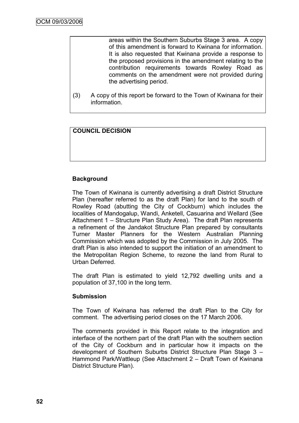areas within the Southern Suburbs Stage 3 area. A copy of this amendment is forward to Kwinana for information. It is also requested that Kwinana provide a response to the proposed provisions in the amendment relating to the contribution requirements towards Rowley Road as comments on the amendment were not provided during the advertising period.

(3) A copy of this report be forward to the Town of Kwinana for their information.

## **COUNCIL DECISION**

## **Background**

The Town of Kwinana is currently advertising a draft District Structure Plan (hereafter referred to as the draft Plan) for land to the south of Rowley Road (abutting the City of Cockburn) which includes the localities of Mandogalup, Wandi, Anketell, Casuarina and Wellard (See Attachment 1 – Structure Plan Study Area). The draft Plan represents a refinement of the Jandakot Structure Plan prepared by consultants Turner Master Planners for the Western Australian Planning Commission which was adopted by the Commission in July 2005. The draft Plan is also intended to support the initiation of an amendment to the Metropolitan Region Scheme, to rezone the land from Rural to Urban Deferred.

The draft Plan is estimated to yield 12,792 dwelling units and a population of 37,100 in the long term.

## **Submission**

The Town of Kwinana has referred the draft Plan to the City for comment. The advertising period closes on the 17 March 2006.

The comments provided in this Report relate to the integration and interface of the northern part of the draft Plan with the southern section of the City of Cockburn and in particular how it impacts on the development of Southern Suburbs District Structure Plan Stage 3 – Hammond Park/Wattleup (See Attachment 2 – Draft Town of Kwinana District Structure Plan).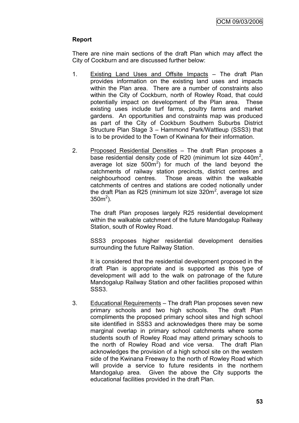## **Report**

There are nine main sections of the draft Plan which may affect the City of Cockburn and are discussed further below:

- 1. Existing Land Uses and Offsite Impacts The draft Plan provides information on the existing land uses and impacts within the Plan area. There are a number of constraints also within the City of Cockburn, north of Rowley Road, that could potentially impact on development of the Plan area. These existing uses include turf farms, poultry farms and market gardens. An opportunities and constraints map was produced as part of the City of Cockburn Southern Suburbs District Structure Plan Stage 3 – Hammond Park/Wattleup (SSS3) that is to be provided to the Town of Kwinana for their information.
- 2. Proposed Residential Densities The draft Plan proposes a base residential density code of R20 (minimum lot size  $440m^2$ , average lot size  $500m^2$ ) for much of the land beyond the catchments of railway station precincts, district centres and neighbourhood centres. Those areas within the walkable catchments of centres and stations are coded notionally under the draft Plan as R25 (minimum lot size 320m<sup>2</sup>, average lot size  $350m^2$ ).

The draft Plan proposes largely R25 residential development within the walkable catchment of the future Mandogalup Railway Station, south of Rowley Road.

SSS3 proposes higher residential development densities surrounding the future Railway Station.

It is considered that the residential development proposed in the draft Plan is appropriate and is supported as this type of development will add to the walk on patronage of the future Mandogalup Railway Station and other facilities proposed within SSS3.

3. Educational Requirements – The draft Plan proposes seven new primary schools and two high schools. The draft Plan compliments the proposed primary school sites and high school site identified in SSS3 and acknowledges there may be some marginal overlap in primary school catchments where some students south of Rowley Road may attend primary schools to the north of Rowley Road and vice versa. The draft Plan acknowledges the provision of a high school site on the western side of the Kwinana Freeway to the north of Rowley Road which will provide a service to future residents in the northern Mandogalup area. Given the above the City supports the educational facilities provided in the draft Plan.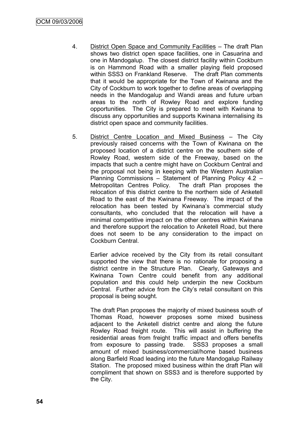- 4. District Open Space and Community Facilities The draft Plan shows two district open space facilities, one in Casuarina and one in Mandogalup. The closest district facility within Cockburn is on Hammond Road with a smaller playing field proposed within SSS3 on Frankland Reserve. The draft Plan comments that it would be appropriate for the Town of Kwinana and the City of Cockburn to work together to define areas of overlapping needs in the Mandogalup and Wandi areas and future urban areas to the north of Rowley Road and explore funding opportunities. The City is prepared to meet with Kwinana to discuss any opportunities and supports Kwinana internalising its district open space and community facilities.
- 5. District Centre Location and Mixed Business The City previously raised concerns with the Town of Kwinana on the proposed location of a district centre on the southern side of Rowley Road, western side of the Freeway, based on the impacts that such a centre might have on Cockburn Central and the proposal not being in keeping with the Western Australian Planning Commissions – Statement of Planning Policy 4.2 – Metropolitan Centres Policy. The draft Plan proposes the relocation of this district centre to the northern side of Anketell Road to the east of the Kwinana Freeway. The impact of the relocation has been tested by Kwinana"s commercial study consultants, who concluded that the relocation will have a minimal competitive impact on the other centres within Kwinana and therefore support the relocation to Anketell Road, but there does not seem to be any consideration to the impact on Cockburn Central.

Earlier advice received by the City from its retail consultant supported the view that there is no rationale for proposing a district centre in the Structure Plan. Clearly, Gateways and Kwinana Town Centre could benefit from any additional population and this could help underpin the new Cockburn Central. Further advice from the City"s retail consultant on this proposal is being sought.

The draft Plan proposes the majority of mixed business south of Thomas Road, however proposes some mixed business adjacent to the Anketell district centre and along the future Rowley Road freight route. This will assist in buffering the residential areas from freight traffic impact and offers benefits from exposure to passing trade. SSS3 proposes a small amount of mixed business/commercial/home based business along Barfield Road leading into the future Mandogalup Railway Station. The proposed mixed business within the draft Plan will compliment that shown on SSS3 and is therefore supported by the City.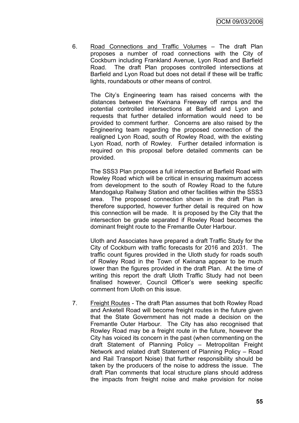6. Road Connections and Traffic Volumes – The draft Plan proposes a number of road connections with the City of Cockburn including Frankland Avenue, Lyon Road and Barfield Road. The draft Plan proposes controlled intersections at Barfield and Lyon Road but does not detail if these will be traffic lights, roundabouts or other means of control.

The City"s Engineering team has raised concerns with the distances between the Kwinana Freeway off ramps and the potential controlled intersections at Barfield and Lyon and requests that further detailed information would need to be provided to comment further. Concerns are also raised by the Engineering team regarding the proposed connection of the realigned Lyon Road, south of Rowley Road, with the existing Lyon Road, north of Rowley. Further detailed information is required on this proposal before detailed comments can be provided.

The SSS3 Plan proposes a full intersection at Barfield Road with Rowley Road which will be critical in ensuring maximum access from development to the south of Rowley Road to the future Mandogalup Railway Station and other facilities within the SSS3 area. The proposed connection shown in the draft Plan is therefore supported, however further detail is required on how this connection will be made. It is proposed by the City that the intersection be grade separated if Rowley Road becomes the dominant freight route to the Fremantle Outer Harbour.

Uloth and Associates have prepared a draft Traffic Study for the City of Cockburn with traffic forecasts for 2016 and 2031. The traffic count figures provided in the Uloth study for roads south of Rowley Road in the Town of Kwinana appear to be much lower than the figures provided in the draft Plan. At the time of writing this report the draft Uloth Traffic Study had not been finalised however, Council Officer"s were seeking specific comment from Uloth on this issue.

7. Freight Routes - The draft Plan assumes that both Rowley Road and Anketell Road will become freight routes in the future given that the State Government has not made a decision on the Fremantle Outer Harbour. The City has also recognised that Rowley Road may be a freight route in the future, however the City has voiced its concern in the past (when commenting on the draft Statement of Planning Policy – Metropolitan Freight Network and related draft Statement of Planning Policy – Road and Rail Transport Noise) that further responsibility should be taken by the producers of the noise to address the issue. The draft Plan comments that local structure plans should address the impacts from freight noise and make provision for noise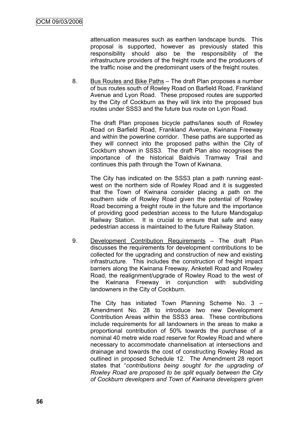attenuation measures such as earthen landscape bunds. This proposal is supported, however as previously stated this responsibility should also be the responsibility of the infrastructure providers of the freight route and the producers of the traffic noise and the predominant users of the freight routes.

8. Bus Routes and Bike Paths – The draft Plan proposes a number of bus routes south of Rowley Road on Barfield Road, Frankland Avenue and Lyon Road. These proposed routes are supported by the City of Cockburn as they will link into the proposed bus routes under SSS3 and the future bus route on Lyon Road.

The draft Plan proposes bicycle paths/lanes south of Rowley Road on Barfield Road, Frankland Avenue, Kwinana Freeway and within the powerline corridor. These paths are supported as they will connect into the proposed paths within the City of Cockburn shown in SSS3. The draft Plan also recognises the importance of the historical Baldivis Tramway Trail and continues this path through the Town of Kwinana.

The City has indicated on the SSS3 plan a path running eastwest on the northern side of Rowley Road and it is suggested that the Town of Kwinana consider placing a path on the southern side of Rowley Road given the potential of Rowley Road becoming a freight route in the future and the importance of providing good pedestrian access to the future Mandogalup Railway Station. It is crucial to ensure that safe and easy pedestrian access is maintained to the future Railway Station.

9. Development Contribution Requirements – The draft Plan discusses the requirements for development contributions to be collected for the upgrading and construction of new and existing infrastructure. This includes the construction of freight impact barriers along the Kwinana Freeway, Anketell Road and Rowley Road, the realignment/upgrade of Rowley Road to the west of the Kwinana Freeway in conjunction with subdividing landowners in the City of Cockburn.

The City has initiated Town Planning Scheme No. 3 – Amendment No. 28 to introduce two new Development Contribution Areas within the SSS3 area. These contributions include requirements for all landowners in the areas to make a proportional contribution of 50% towards the purchase of a nominal 40 metre wide road reserve for Rowley Road and where necessary to accommodate channelisation at intersections and drainage and towards the cost of constructing Rowley Road as outlined in proposed Schedule 12. The Amendment 28 report states that "*contributions being sought for the upgrading of Rowley Road are proposed to be split equally between the City of Cockburn developers and Town of Kwinana developers given*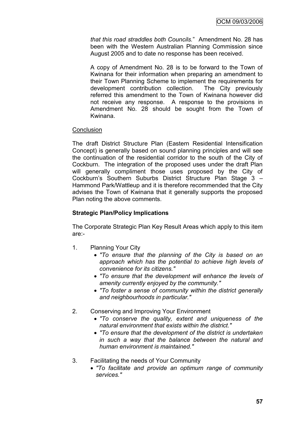*that this road straddles both Councils.*" Amendment No. 28 has been with the Western Australian Planning Commission since August 2005 and to date no response has been received.

A copy of Amendment No. 28 is to be forward to the Town of Kwinana for their information when preparing an amendment to their Town Planning Scheme to implement the requirements for development contribution collection. The City previously referred this amendment to the Town of Kwinana however did not receive any response. A response to the provisions in Amendment No. 28 should be sought from the Town of Kwinana.

## **Conclusion**

The draft District Structure Plan (Eastern Residential Intensification Concept) is generally based on sound planning principles and will see the continuation of the residential corridor to the south of the City of Cockburn. The integration of the proposed uses under the draft Plan will generally compliment those uses proposed by the City of Cockburn"s Southern Suburbs District Structure Plan Stage 3 – Hammond Park/Wattleup and it is therefore recommended that the City advises the Town of Kwinana that it generally supports the proposed Plan noting the above comments.

## **Strategic Plan/Policy Implications**

The Corporate Strategic Plan Key Result Areas which apply to this item are:-

- 1. Planning Your City
	- *"To ensure that the planning of the City is based on an approach which has the potential to achieve high levels of convenience for its citizens."*
	- *"To ensure that the development will enhance the levels of amenity currently enjoyed by the community."*
	- *"To foster a sense of community within the district generally and neighbourhoods in particular."*
- 2. Conserving and Improving Your Environment
	- *"To conserve the quality, extent and uniqueness of the natural environment that exists within the district."*
	- *"To ensure that the development of the district is undertaken in such a way that the balance between the natural and human environment is maintained."*
- 3. Facilitating the needs of Your Community
	- *"To facilitate and provide an optimum range of community services."*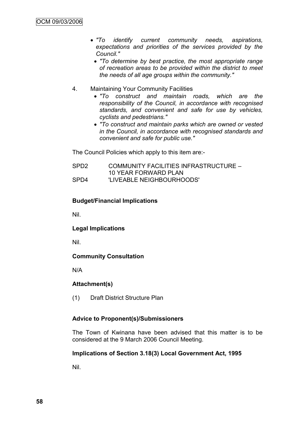- *"To identify current community needs, aspirations, expectations and priorities of the services provided by the Council."*
	- *"To determine by best practice, the most appropriate range of recreation areas to be provided within the district to meet the needs of all age groups within the community."*
- 4. Maintaining Your Community Facilities
	- *"To construct and maintain roads, which are the responsibility of the Council, in accordance with recognised standards, and convenient and safe for use by vehicles, cyclists and pedestrians."*
	- *"To construct and maintain parks which are owned or vested in the Council, in accordance with recognised standards and convenient and safe for public use."*

The Council Policies which apply to this item are:-

SPD2 COMMUNITY FACILITIES INFRASTRUCTURE – 10 YEAR FORWARD PLAN SPD4 'LIVEABLE NEIGHBOURHOODS'

## **Budget/Financial Implications**

Nil.

## **Legal Implications**

Nil.

## **Community Consultation**

N/A

## **Attachment(s)**

(1) Draft District Structure Plan

## **Advice to Proponent(s)/Submissioners**

The Town of Kwinana have been advised that this matter is to be considered at the 9 March 2006 Council Meeting.

## **Implications of Section 3.18(3) Local Government Act, 1995**

Nil.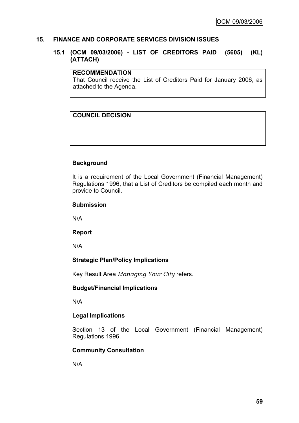## **15. FINANCE AND CORPORATE SERVICES DIVISION ISSUES**

## **15.1 (OCM 09/03/2006) - LIST OF CREDITORS PAID (5605) (KL) (ATTACH)**

#### **RECOMMENDATION**

That Council receive the List of Creditors Paid for January 2006, as attached to the Agenda.

## **COUNCIL DECISION**

## **Background**

It is a requirement of the Local Government (Financial Management) Regulations 1996, that a List of Creditors be compiled each month and provide to Council.

#### **Submission**

N/A

#### **Report**

N/A

## **Strategic Plan/Policy Implications**

Key Result Area *Managing Your City* refers.

## **Budget/Financial Implications**

N/A

## **Legal Implications**

Section 13 of the Local Government (Financial Management) Regulations 1996.

## **Community Consultation**

N/A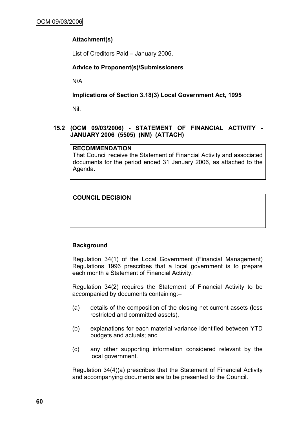## **Attachment(s)**

List of Creditors Paid – January 2006.

## **Advice to Proponent(s)/Submissioners**

N/A

## **Implications of Section 3.18(3) Local Government Act, 1995**

Nil.

## **15.2 (OCM 09/03/2006) - STATEMENT OF FINANCIAL ACTIVITY - JANUARY 2006 (5505) (NM) (ATTACH)**

## **RECOMMENDATION**

That Council receive the Statement of Financial Activity and associated documents for the period ended 31 January 2006, as attached to the Agenda.

## **COUNCIL DECISION**

## **Background**

Regulation 34(1) of the Local Government (Financial Management) Regulations 1996 prescribes that a local government is to prepare each month a Statement of Financial Activity.

Regulation 34(2) requires the Statement of Financial Activity to be accompanied by documents containing:–

- (a) details of the composition of the closing net current assets (less restricted and committed assets),
- (b) explanations for each material variance identified between YTD budgets and actuals; and
- (c) any other supporting information considered relevant by the local government.

Regulation 34(4)(a) prescribes that the Statement of Financial Activity and accompanying documents are to be presented to the Council.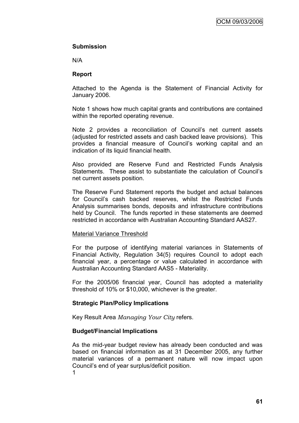## **Submission**

N/A

## **Report**

Attached to the Agenda is the Statement of Financial Activity for January 2006.

Note 1 shows how much capital grants and contributions are contained within the reported operating revenue.

Note 2 provides a reconciliation of Council's net current assets (adjusted for restricted assets and cash backed leave provisions). This provides a financial measure of Council"s working capital and an indication of its liquid financial health.

Also provided are Reserve Fund and Restricted Funds Analysis Statements. These assist to substantiate the calculation of Council"s net current assets position.

The Reserve Fund Statement reports the budget and actual balances for Council"s cash backed reserves, whilst the Restricted Funds Analysis summarises bonds, deposits and infrastructure contributions held by Council. The funds reported in these statements are deemed restricted in accordance with Australian Accounting Standard AAS27.

## Material Variance Threshold

For the purpose of identifying material variances in Statements of Financial Activity, Regulation 34(5) requires Council to adopt each financial year, a percentage or value calculated in accordance with Australian Accounting Standard AAS5 - Materiality.

For the 2005/06 financial year, Council has adopted a materiality threshold of 10% or \$10,000, whichever is the greater.

## **Strategic Plan/Policy Implications**

Key Result Area *Managing Your City* refers.

## **Budget/Financial Implications**

As the mid-year budget review has already been conducted and was based on financial information as at 31 December 2005, any further material variances of a permanent nature will now impact upon Council"s end of year surplus/deficit position.

1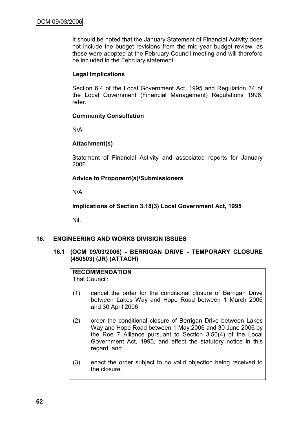It should be noted that the January Statement of Financial Activity does not include the budget revisions from the mid-year budget review, as these were adopted at the February Council meeting and will therefore be included in the February statement.

## **Legal Implications**

Section 6.4 of the Local Government Act, 1995 and Regulation 34 of the Local Government (Financial Management) Regulations 1996, refer.

## **Community Consultation**

N/A

## **Attachment(s)**

Statement of Financial Activity and associated reports for January 2006.

## **Advice to Proponent(s)/Submissioners**

N/A

**Implications of Section 3.18(3) Local Government Act, 1995**

Nil.

## **16. ENGINEERING AND WORKS DIVISION ISSUES**

## **16.1 (OCM 09/03/2006) - BERRIGAN DRIVE - TEMPORARY CLOSURE (450503) (JR) (ATTACH)**

## **RECOMMENDATION**

That Council:

- (1) cancel the order for the conditional closure of Berrigan Drive between Lakes Way and Hope Road between 1 March 2006 and 30 April 2006;
- (2) order the conditional closure of Berrigan Drive between Lakes Way and Hope Road between 1 May 2006 and 30 June 2006 by the Roe 7 Alliance pursuant to Section 3.50(4) of the Local Government Act, 1995, and effect the statutory notice in this regard; and
- (3) enact the order subject to no valid objection being received to the closure.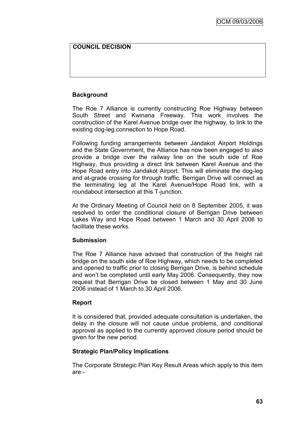## **COUNCIL DECISION**

## **Background**

The Roe 7 Alliance is currently constructing Roe Highway between South Street and Kwinana Freeway. This work involves the construction of the Karel Avenue bridge over the highway, to link to the existing dog-leg connection to Hope Road.

Following funding arrangements between Jandakot Airport Holdings and the State Government, the Alliance has now been engaged to also provide a bridge over the railway line on the south side of Roe Highway, thus providing a direct link between Karel Avenue and the Hope Road entry into Jandakot Airport. This will eliminate the dog-leg and at-grade crossing for through traffic. Berrigan Drive will connect as the terminating leg at the Karel Avenue/Hope Road link, with a roundabout intersection at this T-junction.

At the Ordinary Meeting of Council held on 8 September 2005, it was resolved to order the conditional closure of Berrigan Drive between Lakes Way and Hope Road between 1 March and 30 April 2006 to facilitate these works.

## **Submission**

The Roe 7 Alliance have advised that construction of the freight rail bridge on the south side of Roe Highway, which needs to be completed and opened to traffic prior to closing Berrigan Drive, is behind schedule and won"t be completed until early May 2006. Consequently, they now request that Berrigan Drive be closed between 1 May and 30 June 2006 instead of 1 March to 30 April 2006.

## **Report**

It is considered that, provided adequate consultation is undertaken, the delay in the closure will not cause undue problems, and conditional approval as applied to the currently approved closure period should be given for the new period.

## **Strategic Plan/Policy Implications**

The Corporate Strategic Plan Key Result Areas which apply to this item are:-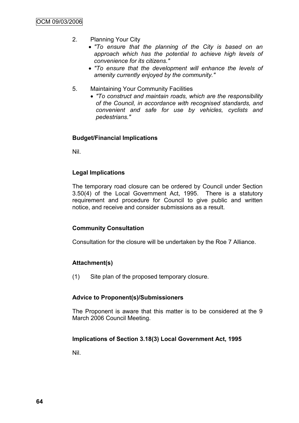- 2. Planning Your City
	- *"To ensure that the planning of the City is based on an approach which has the potential to achieve high levels of convenience for its citizens."*
	- *"To ensure that the development will enhance the levels of amenity currently enjoyed by the community."*
- 5. Maintaining Your Community Facilities
	- *"To construct and maintain roads, which are the responsibility of the Council, in accordance with recognised standards, and convenient and safe for use by vehicles, cyclists and pedestrians."*

## **Budget/Financial Implications**

Nil.

#### **Legal Implications**

The temporary road closure can be ordered by Council under Section 3.50(4) of the Local Government Act, 1995. There is a statutory requirement and procedure for Council to give public and written notice, and receive and consider submissions as a result.

#### **Community Consultation**

Consultation for the closure will be undertaken by the Roe 7 Alliance.

#### **Attachment(s)**

(1) Site plan of the proposed temporary closure.

#### **Advice to Proponent(s)/Submissioners**

The Proponent is aware that this matter is to be considered at the 9 March 2006 Council Meeting.

#### **Implications of Section 3.18(3) Local Government Act, 1995**

Nil.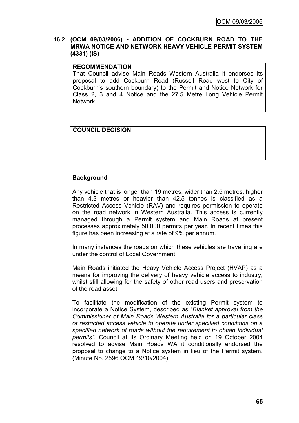## **16.2 (OCM 09/03/2006) - ADDITION OF COCKBURN ROAD TO THE MRWA NOTICE AND NETWORK HEAVY VEHICLE PERMIT SYSTEM (4331) (IS)**

## **RECOMMENDATION**

That Council advise Main Roads Western Australia it endorses its proposal to add Cockburn Road (Russell Road west to City of Cockburn"s southern boundary) to the Permit and Notice Network for Class 2, 3 and 4 Notice and the 27.5 Metre Long Vehicle Permit Network.

## **COUNCIL DECISION**

## **Background**

Any vehicle that is longer than 19 metres, wider than 2.5 metres, higher than 4.3 metres or heavier than 42.5 tonnes is classified as a Restricted Access Vehicle (RAV) and requires permission to operate on the road network in Western Australia. This access is currently managed through a Permit system and Main Roads at present processes approximately 50,000 permits per year. In recent times this figure has been increasing at a rate of 9% per annum.

In many instances the roads on which these vehicles are travelling are under the control of Local Government.

Main Roads initiated the Heavy Vehicle Access Project (HVAP) as a means for improving the delivery of heavy vehicle access to industry, whilst still allowing for the safety of other road users and preservation of the road asset.

To facilitate the modification of the existing Permit system to incorporate a Notice System, described as "*Blanket approval from the Commissioner of Main Roads Western Australia for a particular class of restricted access vehicle to operate under specified conditions on a specified network of roads without the requirement to obtain individual permits"*, Council at its Ordinary Meeting held on 19 October 2004 resolved to advise Main Roads WA it conditionally endorsed the proposal to change to a Notice system in lieu of the Permit system. (Minute No. 2596 OCM 19/10/2004).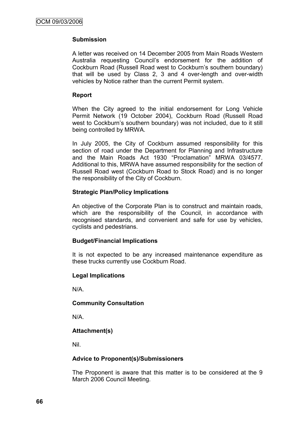## **Submission**

A letter was received on 14 December 2005 from Main Roads Western Australia requesting Council"s endorsement for the addition of Cockburn Road (Russell Road west to Cockburn"s southern boundary) that will be used by Class 2, 3 and 4 over-length and over-width vehicles by Notice rather than the current Permit system.

## **Report**

When the City agreed to the initial endorsement for Long Vehicle Permit Network (19 October 2004), Cockburn Road (Russell Road west to Cockburn's southern boundary) was not included, due to it still being controlled by MRWA.

In July 2005, the City of Cockburn assumed responsibility for this section of road under the Department for Planning and Infrastructure and the Main Roads Act 1930 "Proclamation" MRWA 03/4577. Additional to this, MRWA have assumed responsibility for the section of Russell Road west (Cockburn Road to Stock Road) and is no longer the responsibility of the City of Cockburn.

## **Strategic Plan/Policy Implications**

An objective of the Corporate Plan is to construct and maintain roads, which are the responsibility of the Council, in accordance with recognised standards, and convenient and safe for use by vehicles, cyclists and pedestrians.

## **Budget/Financial Implications**

It is not expected to be any increased maintenance expenditure as these trucks currently use Cockburn Road.

## **Legal Implications**

N/A.

## **Community Consultation**

N/A.

## **Attachment(s)**

Nil.

## **Advice to Proponent(s)/Submissioners**

The Proponent is aware that this matter is to be considered at the 9 March 2006 Council Meeting.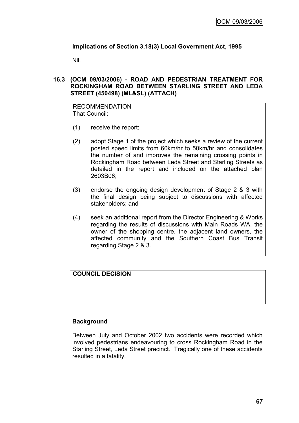## **Implications of Section 3.18(3) Local Government Act, 1995**

Nil.

## **16.3 (OCM 09/03/2006) - ROAD AND PEDESTRIAN TREATMENT FOR ROCKINGHAM ROAD BETWEEN STARLING STREET AND LEDA STREET (450498) (ML&SL) (ATTACH)**

RECOMMENDATION That Council:

- (1) receive the report;
- (2) adopt Stage 1 of the project which seeks a review of the current posted speed limits from 60km/hr to 50km/hr and consolidates the number of and improves the remaining crossing points in Rockingham Road between Leda Street and Starling Streets as detailed in the report and included on the attached plan 2603B06;
- (3) endorse the ongoing design development of Stage 2 & 3 with the final design being subject to discussions with affected stakeholders; and
- (4) seek an additional report from the Director Engineering & Works regarding the results of discussions with Main Roads WA, the owner of the shopping centre, the adjacent land owners, the affected community and the Southern Coast Bus Transit regarding Stage 2 & 3.

## **COUNCIL DECISION**

## **Background**

Between July and October 2002 two accidents were recorded which involved pedestrians endeavouring to cross Rockingham Road in the Starling Street, Leda Street precinct. Tragically one of these accidents resulted in a fatality.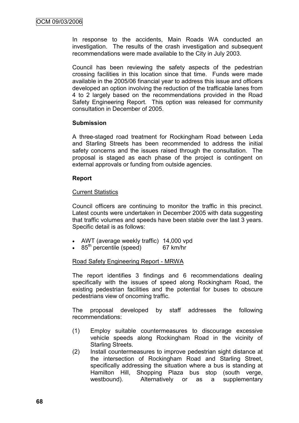In response to the accidents, Main Roads WA conducted an investigation. The results of the crash investigation and subsequent recommendations were made available to the City in July 2003.

Council has been reviewing the safety aspects of the pedestrian crossing facilities in this location since that time. Funds were made available in the 2005/06 financial year to address this issue and officers developed an option involving the reduction of the trafficable lanes from 4 to 2 largely based on the recommendations provided in the Road Safety Engineering Report. This option was released for community consultation in December of 2005.

## **Submission**

A three-staged road treatment for Rockingham Road between Leda and Starling Streets has been recommended to address the initial safety concerns and the issues raised through the consultation. The proposal is staged as each phase of the project is contingent on external approvals or funding from outside agencies.

## **Report**

## **Current Statistics**

Council officers are continuing to monitor the traffic in this precinct. Latest counts were undertaken in December 2005 with data suggesting that traffic volumes and speeds have been stable over the last 3 years. Specific detail is as follows:

- AWT (average weekly traffic) 14,000 vpd
- $\cdot$  85<sup>th</sup> percentile (speed) 67 km/hr

## Road Safety Engineering Report - MRWA

The report identifies 3 findings and 6 recommendations dealing specifically with the issues of speed along Rockingham Road, the existing pedestrian facilities and the potential for buses to obscure pedestrians view of oncoming traffic.

The proposal developed by staff addresses the following recommendations:

- (1) Employ suitable countermeasures to discourage excessive vehicle speeds along Rockingham Road in the vicinity of Starling Streets.
- (2) Install countermeasures to improve pedestrian sight distance at the intersection of Rockingham Road and Starling Street, specifically addressing the situation where a bus is standing at Hamilton Hill, Shopping Plaza bus stop (south verge, westbound). Alternatively or as a supplementary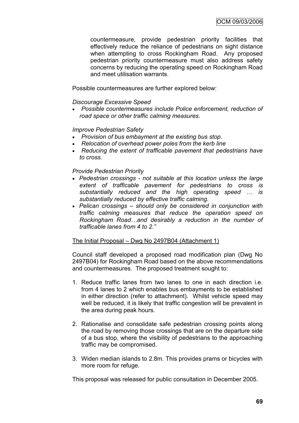countermeasure, provide pedestrian priority facilities that effectively reduce the reliance of pedestrians on sight distance when attempting to cross Rockingham Road. Any proposed pedestrian priority countermeasure must also address safety concerns by reducing the operating speed on Rockingham Road and meet utilisation warrants.

Possible countermeasures are further explored below:

#### *Discourage Excessive Speed*

 *Possible countermeasures include Police enforcement, reduction of road space or other traffic calming measures.*

#### *Improve Pedestrian Safety*

- *Provision of bus embayment at the existing bus stop.*
- *Relocation of overhead power poles from the kerb line*
- *Reducing the extent of trafficable pavement that pedestrians have to cross.*

#### *Provide Pedestrian Priority*

- *Pedestrian crossings - not suitable at this location unless the large extent of trafficable pavement for pedestrians to cross is substantially reduced and the high operating speed … is substantially reduced by effective traffic calming.*
- *Pelican crossings – should only be considered in conjunction with traffic calming measures that reduce the operation speed on Rockingham Road…and desirably a reduction in the number of trafficable lanes from 4 to 2."*

## The Initial Proposal – Dwg No 2497B04 (Attachment 1)

Council staff developed a proposed road modification plan (Dwg No 2497B04) for Rockingham Road based on the above recommendations and countermeasures. The proposed treatment sought to:

- 1. Reduce traffic lanes from two lanes to one in each direction i.e. from 4 lanes to 2 which enables bus embayments to be established in either direction (refer to attachment). Whilst vehicle speed may well be reduced, it is likely that traffic congestion will be prevalent in the area during peak hours.
- 2. Rationalise and consolidate safe pedestrian crossing points along the road by removing those crossings that are on the departure side of a bus stop, where the visibility of pedestrians to the approaching traffic may be compromised.
- 3. Widen median islands to 2.8m. This provides prams or bicycles with more room for refuge.

This proposal was released for public consultation in December 2005.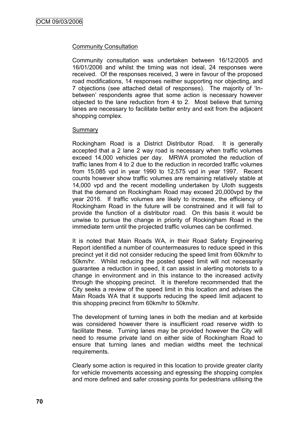## Community Consultation

Community consultation was undertaken between 16/12/2005 and 16/01/2006 and whilst the timing was not ideal, 24 responses were received. Of the responses received, 3 were in favour of the proposed road modifications, 14 responses neither supporting nor objecting, and 7 objections (see attached detail of responses). The majority of "Inbetween" respondents agree that some action is necessary however objected to the lane reduction from 4 to 2. Most believe that turning lanes are necessary to facilitate better entry and exit from the adjacent shopping complex.

#### Summary

Rockingham Road is a District Distributor Road. It is generally accepted that a 2 lane 2 way road is necessary when traffic volumes exceed 14,000 vehicles per day. MRWA promoted the reduction of traffic lanes from 4 to 2 due to the reduction in recorded traffic volumes from 15,085 vpd in year 1990 to 12,575 vpd in year 1997. Recent counts however show traffic volumes are remaining relatively stable at 14,000 vpd and the recent modelling undertaken by Uloth suggests that the demand on Rockingham Road may exceed 20,000vpd by the year 2016. If traffic volumes are likely to increase, the efficiency of Rockingham Road in the future will be constrained and it will fail to provide the function of a distributor road. On this basis it would be unwise to pursue the change in priority of Rockingham Road in the immediate term until the projected traffic volumes can be confirmed.

It is noted that Main Roads WA, in their Road Safety Engineering Report identified a number of countermeasures to reduce speed in this precinct yet it did not consider reducing the speed limit from 60km/hr to 50km/hr. Whilst reducing the posted speed limit will not necessarily guarantee a reduction in speed, it can assist in alerting motorists to a change in environment and in this instance to the increased activity through the shopping precinct. It is therefore recommended that the City seeks a review of the speed limit in this location and advises the Main Roads WA that it supports reducing the speed limit adjacent to this shopping precinct from 60km/hr to 50km/hr.

The development of turning lanes in both the median and at kerbside was considered however there is insufficient road reserve width to facilitate these. Turning lanes may be provided however the City will need to resume private land on either side of Rockingham Road to ensure that turning lanes and median widths meet the technical requirements.

Clearly some action is required in this location to provide greater clarity for vehicle movements accessing and egressing the shopping complex and more defined and safer crossing points for pedestrians utilising the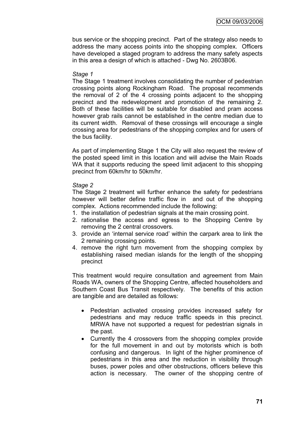bus service or the shopping precinct. Part of the strategy also needs to address the many access points into the shopping complex. Officers have developed a staged program to address the many safety aspects in this area a design of which is attached - Dwg No. 2603B06.

#### *Stage 1*

The Stage 1 treatment involves consolidating the number of pedestrian crossing points along Rockingham Road. The proposal recommends the removal of 2 of the 4 crossing points adjacent to the shopping precinct and the redevelopment and promotion of the remaining 2. Both of these facilities will be suitable for disabled and pram access however grab rails cannot be established in the centre median due to its current width. Removal of these crossings will encourage a single crossing area for pedestrians of the shopping complex and for users of the bus facility.

As part of implementing Stage 1 the City will also request the review of the posted speed limit in this location and will advise the Main Roads WA that it supports reducing the speed limit adjacent to this shopping precinct from 60km/hr to 50km/hr.

## *Stage 2*

The Stage 2 treatment will further enhance the safety for pedestrians however will better define traffic flow in and out of the shopping complex. Actions recommended include the following:

- 1. the installation of pedestrian signals at the main crossing point.
- 2. rationalise the access and egress to the Shopping Centre by removing the 2 central crossovers.
- 3. provide an "internal service road" within the carpark area to link the 2 remaining crossing points.
- 4. remove the right turn movement from the shopping complex by establishing raised median islands for the length of the shopping precinct

This treatment would require consultation and agreement from Main Roads WA, owners of the Shopping Centre, affected householders and Southern Coast Bus Transit respectively. The benefits of this action are tangible and are detailed as follows:

- Pedestrian activated crossing provides increased safety for pedestrians and may reduce traffic speeds in this precinct. MRWA have not supported a request for pedestrian signals in the past.
- Currently the 4 crossovers from the shopping complex provide for the full movement in and out by motorists which is both confusing and dangerous. In light of the higher prominence of pedestrians in this area and the reduction in visibility through buses, power poles and other obstructions, officers believe this action is necessary. The owner of the shopping centre of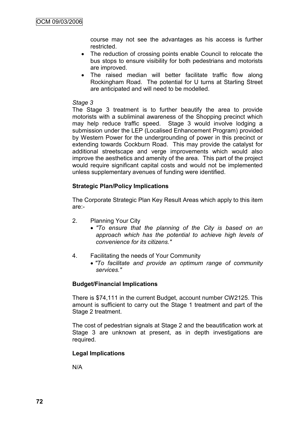course may not see the advantages as his access is further restricted.

- The reduction of crossing points enable Council to relocate the bus stops to ensure visibility for both pedestrians and motorists are improved.
- The raised median will better facilitate traffic flow along Rockingham Road. The potential for U turns at Starling Street are anticipated and will need to be modelled.

#### *Stage 3*

The Stage 3 treatment is to further beautify the area to provide motorists with a subliminal awareness of the Shopping precinct which may help reduce traffic speed. Stage 3 would involve lodging a submission under the LEP (Localised Enhancement Program) provided by Western Power for the undergrounding of power in this precinct or extending towards Cockburn Road. This may provide the catalyst for additional streetscape and verge improvements which would also improve the aesthetics and amenity of the area. This part of the project would require significant capital costs and would not be implemented unless supplementary avenues of funding were identified.

## **Strategic Plan/Policy Implications**

The Corporate Strategic Plan Key Result Areas which apply to this item are:-

- 2. Planning Your City
	- *"To ensure that the planning of the City is based on an approach which has the potential to achieve high levels of convenience for its citizens."*
- 4. Facilitating the needs of Your Community
	- *"To facilitate and provide an optimum range of community services."*

## **Budget/Financial Implications**

There is \$74,111 in the current Budget, account number CW2125. This amount is sufficient to carry out the Stage 1 treatment and part of the Stage 2 treatment.

The cost of pedestrian signals at Stage 2 and the beautification work at Stage 3 are unknown at present, as in depth investigations are required.

## **Legal Implications**

N/A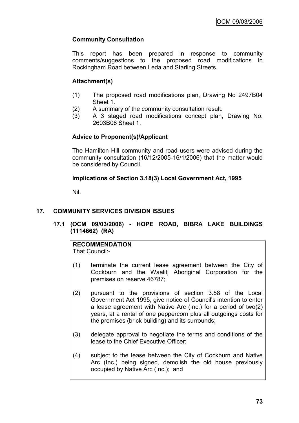# **Community Consultation**

This report has been prepared in response to community comments/suggestions to the proposed road modifications in Rockingham Road between Leda and Starling Streets.

# **Attachment(s)**

- (1) The proposed road modifications plan, Drawing No 2497B04 Sheet 1.
- (2) A summary of the community consultation result.
- (3) A 3 staged road modifications concept plan, Drawing No. 2603B06 Sheet 1.

## **Advice to Proponent(s)/Applicant**

The Hamilton Hill community and road users were advised during the community consultation (16/12/2005-16/1/2006) that the matter would be considered by Council.

## **Implications of Section 3.18(3) Local Government Act, 1995**

Nil.

## **17. COMMUNITY SERVICES DIVISION ISSUES**

## **17.1 (OCM 09/03/2006) - HOPE ROAD, BIBRA LAKE BUILDINGS (1114662) (RA)**

## **RECOMMENDATION**

That Council:-

- (1) terminate the current lease agreement between the City of Cockburn and the Waalitj Aboriginal Corporation for the premises on reserve 46787;
- (2) pursuant to the provisions of section 3.58 of the Local Government Act 1995, give notice of Council"s intention to enter a lease agreement with Native Arc (Inc.) for a period of two(2) years, at a rental of one peppercorn plus all outgoings costs for the premises (brick building) and its surrounds;
- (3) delegate approval to negotiate the terms and conditions of the lease to the Chief Executive Officer;
- (4) subject to the lease between the City of Cockburn and Native Arc (Inc.) being signed, demolish the old house previously occupied by Native Arc (Inc.); and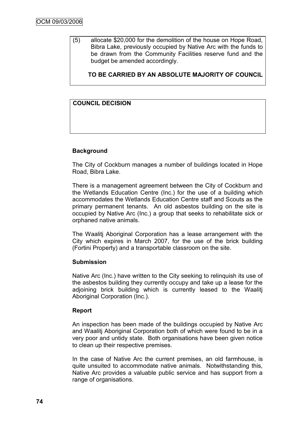(5) allocate \$20,000 for the demolition of the house on Hope Road, Bibra Lake, previously occupied by Native Arc with the funds to be drawn from the Community Facilities reserve fund and the budget be amended accordingly.

**TO BE CARRIED BY AN ABSOLUTE MAJORITY OF COUNCIL**

# **COUNCIL DECISION**

## **Background**

The City of Cockburn manages a number of buildings located in Hope Road, Bibra Lake.

There is a management agreement between the City of Cockburn and the Wetlands Education Centre (Inc.) for the use of a building which accommodates the Wetlands Education Centre staff and Scouts as the primary permanent tenants. An old asbestos building on the site is occupied by Native Arc (Inc.) a group that seeks to rehabilitate sick or orphaned native animals.

The Waalitj Aboriginal Corporation has a lease arrangement with the City which expires in March 2007, for the use of the brick building (Fortini Property) and a transportable classroom on the site.

#### **Submission**

Native Arc (Inc.) have written to the City seeking to relinquish its use of the asbestos building they currently occupy and take up a lease for the adjoining brick building which is currently leased to the Waalitj Aboriginal Corporation (Inc.).

#### **Report**

An inspection has been made of the buildings occupied by Native Arc and Waalitj Aboriginal Corporation both of which were found to be in a very poor and untidy state. Both organisations have been given notice to clean up their respective premises.

In the case of Native Arc the current premises, an old farmhouse, is quite unsuited to accommodate native animals. Notwithstanding this, Native Arc provides a valuable public service and has support from a range of organisations.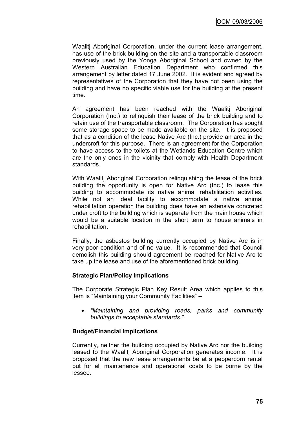Waalitj Aboriginal Corporation, under the current lease arrangement, has use of the brick building on the site and a transportable classroom previously used by the Yonga Aboriginal School and owned by the Western Australian Education Department who confirmed this arrangement by letter dated 17 June 2002. It is evident and agreed by representatives of the Corporation that they have not been using the building and have no specific viable use for the building at the present time.

An agreement has been reached with the Waalitj Aboriginal Corporation (Inc.) to relinquish their lease of the brick building and to retain use of the transportable classroom. The Corporation has sought some storage space to be made available on the site. It is proposed that as a condition of the lease Native Arc (Inc.) provide an area in the undercroft for this purpose. There is an agreement for the Corporation to have access to the toilets at the Wetlands Education Centre which are the only ones in the vicinity that comply with Health Department standards.

With Waalitj Aboriginal Corporation relinquishing the lease of the brick building the opportunity is open for Native Arc (Inc.) to lease this building to accommodate its native animal rehabilitation activities. While not an ideal facility to accommodate a native animal rehabilitation operation the building does have an extensive concreted under croft to the building which is separate from the main house which would be a suitable location in the short term to house animals in rehabilitation.

Finally, the asbestos building currently occupied by Native Arc is in very poor condition and of no value. It is recommended that Council demolish this building should agreement be reached for Native Arc to take up the lease and use of the aforementioned brick building.

## **Strategic Plan/Policy Implications**

The Corporate Strategic Plan Key Result Area which applies to this item is "Maintaining your Community Facilities" –

 *"Maintaining and providing roads, parks and community buildings to acceptable standards."*

## **Budget/Financial Implications**

Currently, neither the building occupied by Native Arc nor the building leased to the Waalitj Aboriginal Corporation generates income. It is proposed that the new lease arrangements be at a peppercorn rental but for all maintenance and operational costs to be borne by the lessee.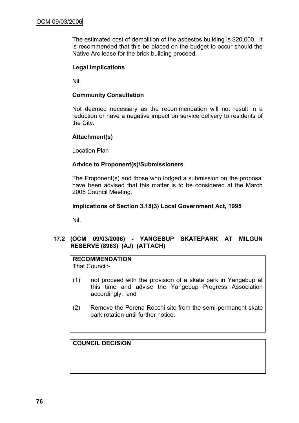The estimated cost of demolition of the asbestos building is \$20,000. It is recommended that this be placed on the budget to occur should the Native Arc lease for the brick building proceed.

## **Legal Implications**

Nil.

#### **Community Consultation**

Not deemed necessary as the recommendation will not result in a reduction or have a negative impact on service delivery to residents of the City.

#### **Attachment(s)**

Location Plan

#### **Advice to Proponent(s)/Submissioners**

The Proponent(s) and those who lodged a submission on the proposal have been advised that this matter is to be considered at the March 2005 Council Meeting.

#### **Implications of Section 3.18(3) Local Government Act, 1995**

Nil.

## **17.2 (OCM 09/03/2006) - YANGEBUP SKATEPARK AT MILGUN RESERVE (8963) (AJ) (ATTACH)**

# **RECOMMENDATION**

That Council:-

- (1) not proceed with the provision of a skate park in Yangebup at this time and advise the Yangebup Progress Association accordingly; and
- (2) Remove the Perena Rocchi site from the semi-permanent skate park rotation until further notice.

**COUNCIL DECISION**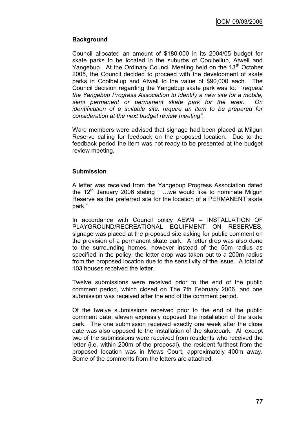# **Background**

Council allocated an amount of \$180,000 in its 2004/05 budget for skate parks to be located in the suburbs of Coolbellup, Atwell and Yangebup. At the Ordinary Council Meeting held on the  $13<sup>th</sup>$  October 2005, the Council decided to proceed with the development of skate parks in Coolbellup and Atwell to the value of \$90,000 each. The Council decision regarding the Yangebup skate park was to: "*request the Yangebup Progress Association to identify a new site for a mobile, semi permanent or permanent skate park for the area. On identification of a suitable site, require an item to be prepared for consideration at the next budget review meeting".*

Ward members were advised that signage had been placed at Milgun Reserve calling for feedback on the proposed location. Due to the feedback period the item was not ready to be presented at the budget review meeting.

## **Submission**

A letter was received from the Yangebup Progress Association dated the  $12<sup>th</sup>$  January 2006 stating " ...we would like to nominate Milgun Reserve as the preferred site for the location of a PERMANENT skate park."

In accordance with Council policy AEW4 – INSTALLATION OF PLAYGROUND/RECREATIONAL EQUIPMENT ON RESERVES, signage was placed at the proposed site asking for public comment on the provision of a permanent skate park. A letter drop was also done to the surrounding homes, however instead of the 50m radius as specified in the policy, the letter drop was taken out to a 200m radius from the proposed location due to the sensitivity of the issue. A total of 103 houses received the letter.

Twelve submissions were received prior to the end of the public comment period, which closed on The 7th February 2006, and one submission was received after the end of the comment period.

Of the twelve submissions received prior to the end of the public comment date, eleven expressly opposed the installation of the skate park. The one submission received exactly one week after the close date was also opposed to the installation of the skatepark. All except two of the submissions were received from residents who received the letter (i.e. within 200m of the proposal), the resident furthest from the proposed location was in Mews Court, approximately 400m away. Some of the comments from the letters are attached.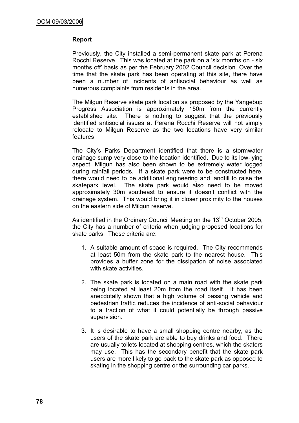## **Report**

Previously, the City installed a semi-permanent skate park at Perena Rocchi Reserve. This was located at the park on a "six months on - six months off" basis as per the February 2002 Council decision. Over the time that the skate park has been operating at this site, there have been a number of incidents of antisocial behaviour as well as numerous complaints from residents in the area.

The Milgun Reserve skate park location as proposed by the Yangebup Progress Association is approximately 150m from the currently established site. There is nothing to suggest that the previously identified antisocial issues at Perena Rocchi Reserve will not simply relocate to Milgun Reserve as the two locations have very similar features.

The City"s Parks Department identified that there is a stormwater drainage sump very close to the location identified. Due to its low-lying aspect, Milgun has also been shown to be extremely water logged during rainfall periods. If a skate park were to be constructed here, there would need to be additional engineering and landfill to raise the skatepark level. The skate park would also need to be moved approximately 30m southeast to ensure it doesn"t conflict with the drainage system. This would bring it in closer proximity to the houses on the eastern side of Milgun reserve.

As identified in the Ordinary Council Meeting on the  $13<sup>th</sup>$  October 2005, the City has a number of criteria when judging proposed locations for skate parks. These criteria are:

- 1. A suitable amount of space is required. The City recommends at least 50m from the skate park to the nearest house. This provides a buffer zone for the dissipation of noise associated with skate activities.
- 2. The skate park is located on a main road with the skate park being located at least 20m from the road itself. It has been anecdotally shown that a high volume of passing vehicle and pedestrian traffic reduces the incidence of anti-social behaviour to a fraction of what it could potentially be through passive supervision.
- 3. It is desirable to have a small shopping centre nearby, as the users of the skate park are able to buy drinks and food. There are usually toilets located at shopping centres, which the skaters may use. This has the secondary benefit that the skate park users are more likely to go back to the skate park as opposed to skating in the shopping centre or the surrounding car parks.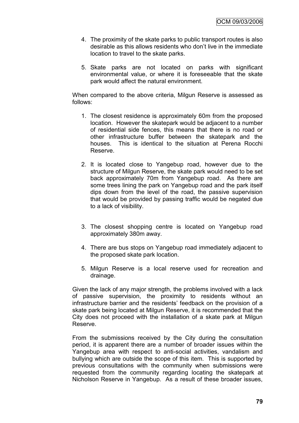- 4. The proximity of the skate parks to public transport routes is also desirable as this allows residents who don"t live in the immediate location to travel to the skate parks.
- 5. Skate parks are not located on parks with significant environmental value, or where it is foreseeable that the skate park would affect the natural environment.

When compared to the above criteria, Milgun Reserve is assessed as follows:

- 1. The closest residence is approximately 60m from the proposed location. However the skatepark would be adjacent to a number of residential side fences, this means that there is no road or other infrastructure buffer between the skatepark and the houses. This is identical to the situation at Perena Rocchi Reserve.
- 2. It is located close to Yangebup road, however due to the structure of Milgun Reserve, the skate park would need to be set back approximately 70m from Yangebup road. As there are some trees lining the park on Yangebup road and the park itself dips down from the level of the road, the passive supervision that would be provided by passing traffic would be negated due to a lack of visibility.
- 3. The closest shopping centre is located on Yangebup road approximately 380m away.
- 4. There are bus stops on Yangebup road immediately adjacent to the proposed skate park location.
- 5. Milgun Reserve is a local reserve used for recreation and drainage.

Given the lack of any major strength, the problems involved with a lack of passive supervision, the proximity to residents without an infrastructure barrier and the residents" feedback on the provision of a skate park being located at Milgun Reserve, it is recommended that the City does not proceed with the installation of a skate park at Milgun Reserve.

From the submissions received by the City during the consultation period, it is apparent there are a number of broader issues within the Yangebup area with respect to anti-social activities, vandalism and bullying which are outside the scope of this item. This is supported by previous consultations with the community when submissions were requested from the community regarding locating the skatepark at Nicholson Reserve in Yangebup. As a result of these broader issues,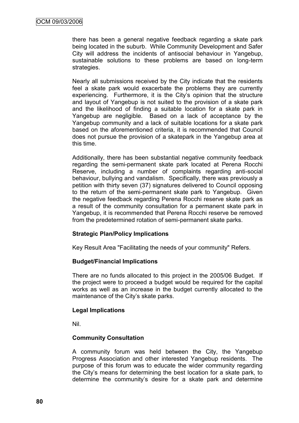there has been a general negative feedback regarding a skate park being located in the suburb. While Community Development and Safer City will address the incidents of antisocial behaviour in Yangebup, sustainable solutions to these problems are based on long-term strategies.

Nearly all submissions received by the City indicate that the residents feel a skate park would exacerbate the problems they are currently experiencing. Furthermore, it is the City"s opinion that the structure and layout of Yangebup is not suited to the provision of a skate park and the likelihood of finding a suitable location for a skate park in Yangebup are negligible. Based on a lack of acceptance by the Yangebup community and a lack of suitable locations for a skate park based on the aforementioned criteria, it is recommended that Council does not pursue the provision of a skatepark in the Yangebup area at this time.

Additionally, there has been substantial negative community feedback regarding the semi-permanent skate park located at Perena Rocchi Reserve, including a number of complaints regarding anti-social behaviour, bullying and vandalism. Specifically, there was previously a petition with thirty seven (37) signatures delivered to Council opposing to the return of the semi-permanent skate park to Yangebup. Given the negative feedback regarding Perena Rocchi reserve skate park as a result of the community consultation for a permanent skate park in Yangebup, it is recommended that Perena Rocchi reserve be removed from the predetermined rotation of semi-permanent skate parks.

## **Strategic Plan/Policy Implications**

Key Result Area "Facilitating the needs of your community" Refers.

## **Budget/Financial Implications**

There are no funds allocated to this project in the 2005/06 Budget. If the project were to proceed a budget would be required for the capital works as well as an increase in the budget currently allocated to the maintenance of the City's skate parks.

## **Legal Implications**

Nil.

## **Community Consultation**

A community forum was held between the City, the Yangebup Progress Association and other interested Yangebup residents. The purpose of this forum was to educate the wider community regarding the City"s means for determining the best location for a skate park, to determine the community"s desire for a skate park and determine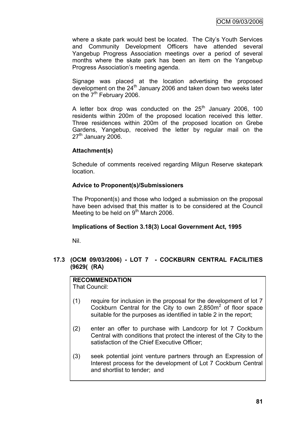where a skate park would best be located. The City's Youth Services and Community Development Officers have attended several Yangebup Progress Association meetings over a period of several months where the skate park has been an item on the Yangebup Progress Association"s meeting agenda.

Signage was placed at the location advertising the proposed development on the 24<sup>th</sup> January 2006 and taken down two weeks later on the  $7<sup>th</sup>$  February 2006.

A letter box drop was conducted on the  $25<sup>th</sup>$  January 2006, 100 residents within 200m of the proposed location received this letter. Three residences within 200m of the proposed location on Grebe Gardens, Yangebup, received the letter by regular mail on the  $27<sup>th</sup>$  January 2006.

## **Attachment(s)**

Schedule of comments received regarding Milgun Reserve skatepark location.

## **Advice to Proponent(s)/Submissioners**

The Proponent(s) and those who lodged a submission on the proposal have been advised that this matter is to be considered at the Council Meeting to be held on  $9<sup>th</sup>$  March 2006.

# **Implications of Section 3.18(3) Local Government Act, 1995**

Nil.

## **17.3 (OCM 09/03/2006) - LOT 7 - COCKBURN CENTRAL FACILITIES (9629( (RA)**

# **RECOMMENDATION**

That Council:

- (1) require for inclusion in the proposal for the development of lot 7 Cockburn Central for the City to own  $2,850m^2$  of floor space suitable for the purposes as identified in table 2 in the report;
- (2) enter an offer to purchase with Landcorp for lot 7 Cockburn Central with conditions that protect the interest of the City to the satisfaction of the Chief Executive Officer;
- (3) seek potential joint venture partners through an Expression of Interest process for the development of Lot 7 Cockburn Central and shortlist to tender; and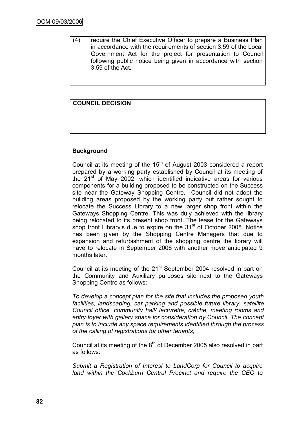(4) require the Chief Executive Officer to prepare a Business Plan in accordance with the requirements of section 3.59 of the Local Government Act for the project for presentation to Council following public notice being given in accordance with section 3.59 of the Act.

# **COUNCIL DECISION**

## **Background**

Council at its meeting of the  $15<sup>th</sup>$  of August 2003 considered a report prepared by a working party established by Council at its meeting of the  $21<sup>st</sup>$  of May 2002, which identified indicative areas for various components for a building proposed to be constructed on the Success site near the Gateway Shopping Centre. Council did not adopt the building areas proposed by the working party but rather sought to relocate the Success Library to a new larger shop front within the Gateways Shopping Centre. This was duly achieved with the library being relocated to its present shop front. The lease for the Gateways shop front Library's due to expire on the 31<sup>st</sup> of October 2008. Notice has been given by the Shopping Centre Managers that due to expansion and refurbishment of the shopping centre the library will have to relocate in September 2006 with another move anticipated 9 months later.

Council at its meeting of the 21<sup>st</sup> September 2004 resolved in part on the Community and Auxiliary purposes site next to the Gateways Shopping Centre as follows:

*To develop a concept plan for the site that includes the proposed youth facilities, landscaping, car parking and possible future library, satellite Council office, community hall/ lecturette, crèche, meeting rooms and entry foyer with gallery space for consideration by Council. The concept plan is to include any space requirements identified through the process of the calling of registrations for other tenants;*

Council at its meeting of the  $8<sup>th</sup>$  of December 2005 also resolved in part as follows:

*Submit a Registration of Interest to LandCorp for Council to acquire land within the Cockburn Central Precinct and require the CEO to*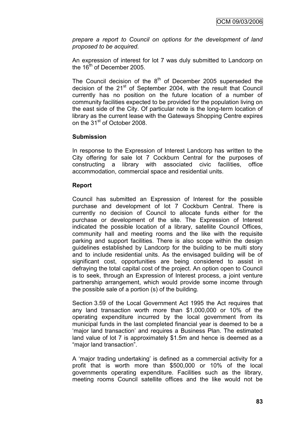*prepare a report to Council on options for the development of land proposed to be acquired.*

An expression of interest for lot 7 was duly submitted to Landcorp on the  $16<sup>th</sup>$  of December 2005.

The Council decision of the  $8<sup>th</sup>$  of December 2005 superseded the decision of the  $21<sup>st</sup>$  of September 2004, with the result that Council currently has no position on the future location of a number of community facilities expected to be provided for the population living on the east side of the City. Of particular note is the long-term location of library as the current lease with the Gateways Shopping Centre expires on the 31<sup>st</sup> of October 2008.

## **Submission**

In response to the Expression of Interest Landcorp has written to the City offering for sale lot 7 Cockburn Central for the purposes of constructing a library with associated civic facilities, office accommodation, commercial space and residential units.

## **Report**

Council has submitted an Expression of Interest for the possible purchase and development of lot 7 Cockburn Central. There is currently no decision of Council to allocate funds either for the purchase or development of the site. The Expression of Interest indicated the possible location of a library, satellite Council Offices, community hall and meeting rooms and the like with the requisite parking and support facilities. There is also scope within the design guidelines established by Landcorp for the building to be multi story and to include residential units. As the envisaged building will be of significant cost, opportunities are being considered to assist in defraying the total capital cost of the project. An option open to Council is to seek, through an Expression of Interest process, a joint venture partnership arrangement, which would provide some income through the possible sale of a portion (s) of the building.

Section 3.59 of the Local Government Act 1995 the Act requires that any land transaction worth more than \$1,000,000 or 10% of the operating expenditure incurred by the local government from its municipal funds in the last completed financial year is deemed to be a "major land transaction" and requires a Business Plan. The estimated land value of lot 7 is approximately \$1.5m and hence is deemed as a "major land transaction".

A "major trading undertaking" is defined as a commercial activity for a profit that is worth more than \$500,000 or 10% of the local governments operating expenditure. Facilities such as the library, meeting rooms Council satellite offices and the like would not be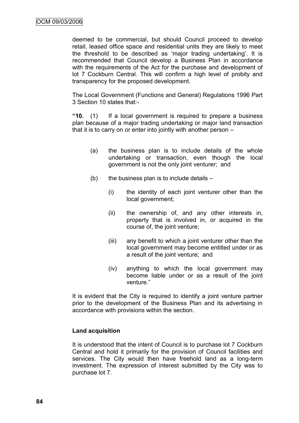deemed to be commercial, but should Council proceed to develop retail, leased office space and residential units they are likely to meet the threshold to be described as 'major trading undertaking'. It is recommended that Council develop a Business Plan in accordance with the requirements of the Act for the purchase and development of lot 7 Cockburn Central. This will confirm a high level of probity and transparency for the proposed development.

The Local Government (Functions and General) Regulations 1996 Part 3 Section 10 states that:-

**"10.** (1) If a local government is required to prepare a business plan because of a major trading undertaking or major land transaction that it is to carry on or enter into jointly with another person –

- (a) the business plan is to include details of the whole undertaking or transaction, even though the local government is not the only joint venturer; and
- (b) the business plan is to include details  $-$ 
	- (i) the identity of each joint venturer other than the local government;
	- (ii) the ownership of, and any other interests in, property that is involved in, or acquired in the course of, the joint venture;
	- (iii) any benefit to which a joint venturer other than the local government may become entitled under or as a result of the joint venture; and
	- (iv) anything to which the local government may become liable under or as a result of the joint venture."

It is evident that the City is required to identify a joint venture partner prior to the development of the Business Plan and its advertising in accordance with provisions within the section.

## **Land acquisition**

It is understood that the intent of Council is to purchase lot 7 Cockburn Central and hold it primarily for the provision of Council facilities and services. The City would then have freehold land as a long-term investment. The expression of interest submitted by the City was to purchase lot 7.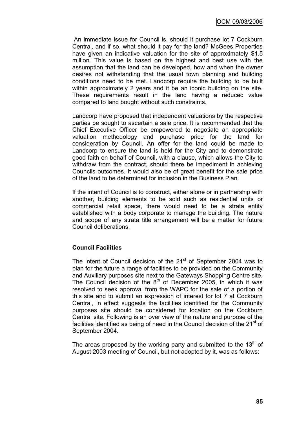An immediate issue for Council is, should it purchase lot 7 Cockburn Central, and if so, what should it pay for the land? McGees Properties have given an indicative valuation for the site of approximately \$1.5 million. This value is based on the highest and best use with the assumption that the land can be developed, how and when the owner desires not withstanding that the usual town planning and building conditions need to be met. Landcorp require the building to be built within approximately 2 years and it be an iconic building on the site. These requirements result in the land having a reduced value compared to land bought without such constraints.

Landcorp have proposed that independent valuations by the respective parties be sought to ascertain a sale price. It is recommended that the Chief Executive Officer be empowered to negotiate an appropriate valuation methodology and purchase price for the land for consideration by Council. An offer for the land could be made to Landcorp to ensure the land is held for the City and to demonstrate good faith on behalf of Council, with a clause, which allows the City to withdraw from the contract, should there be impediment in achieving Councils outcomes. It would also be of great benefit for the sale price of the land to be determined for inclusion in the Business Plan.

If the intent of Council is to construct, either alone or in partnership with another, building elements to be sold such as residential units or commercial retail space, there would need to be a strata entity established with a body corporate to manage the building. The nature and scope of any strata title arrangement will be a matter for future Council deliberations.

## **Council Facilities**

The intent of Council decision of the  $21<sup>st</sup>$  of September 2004 was to plan for the future a range of facilities to be provided on the Community and Auxiliary purposes site next to the Gateways Shopping Centre site. The Council decision of the  $8<sup>th</sup>$  of December 2005, in which it was resolved to seek approval from the WAPC for the sale of a portion of this site and to submit an expression of interest for lot 7 at Cockburn Central, in effect suggests the facilities identified for the Community purposes site should be considered for location on the Cockburn Central site. Following is an over view of the nature and purpose of the facilities identified as being of need in the Council decision of the  $21<sup>st</sup>$  of September 2004.

The areas proposed by the working party and submitted to the  $13<sup>th</sup>$  of August 2003 meeting of Council, but not adopted by it, was as follows: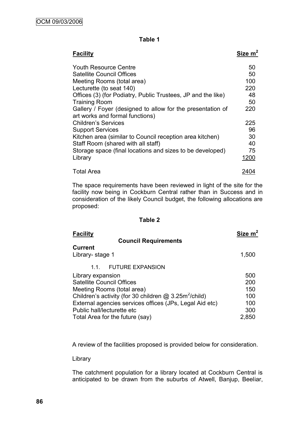## **Table 1**

| <b>Facility</b>                                                                               | Size $m2$ |
|-----------------------------------------------------------------------------------------------|-----------|
| Youth Resource Centre                                                                         | 50        |
| Satellite Council Offices                                                                     | 50        |
| Meeting Rooms (total area)                                                                    | 100       |
| Lecturette (to seat 140)                                                                      | 220       |
| Offices (3) (for Podiatry, Public Trustees, JP and the like)                                  | 48        |
| <b>Training Room</b>                                                                          | 50        |
| Gallery / Foyer (designed to allow for the presentation of<br>art works and formal functions) | 220       |
| <b>Children's Services</b>                                                                    | 225       |
| <b>Support Services</b>                                                                       | 96        |
| Kitchen area (similar to Council reception area kitchen)                                      | 30        |
| Staff Room (shared with all staff)                                                            | 40        |
| Storage space (final locations and sizes to be developed)                                     | 75        |
| Library                                                                                       | 1200      |
| <b>Total Area</b>                                                                             | 2404      |

The space requirements have been reviewed in light of the site for the facility now being in Cockburn Central rather than in Success and in consideration of the likely Council budget, the following allocations are proposed:

#### **Table 2**

| <b>Facility</b>                                                                                                                                                                                                                         | Size $m2$                              |
|-----------------------------------------------------------------------------------------------------------------------------------------------------------------------------------------------------------------------------------------|----------------------------------------|
| <b>Council Requirements</b><br><b>Current</b><br>Library-stage 1                                                                                                                                                                        | 1,500                                  |
| <b>FUTURE EXPANSION</b><br>11                                                                                                                                                                                                           |                                        |
| Library expansion<br><b>Satellite Council Offices</b><br>Meeting Rooms (total area)<br>Children's activity (for 30 children $@3.25m^2$ /child)<br>External agencies services offices (JPs, Legal Aid etc)<br>Public hall/lecturette etc | 500<br>200<br>150<br>100<br>100<br>300 |
| Total Area for the future (say)                                                                                                                                                                                                         | 2,850                                  |

A review of the facilities proposed is provided below for consideration.

## Library

The catchment population for a library located at Cockburn Central is anticipated to be drawn from the suburbs of Atwell, Banjup, Beeliar,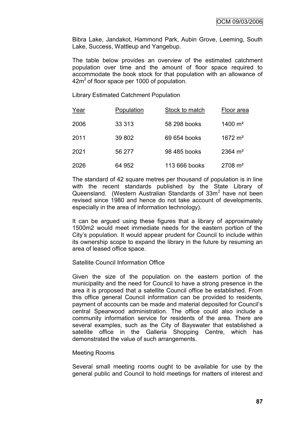Bibra Lake, Jandakot, Hammond Park, Aubin Grove, Leeming, South Lake, Success, Wattleup and Yangebup.

The table below provides an overview of the estimated catchment population over time and the amount of floor space required to accommodate the book stock for that population with an allowance of  $42m<sup>2</sup>$  of floor space per 1000 of population.

Library Estimated Catchment Population

| Year | Population | Stock to match | Floor area           |
|------|------------|----------------|----------------------|
| 2006 | 33 313     | 58 298 books   | 1400 $m2$            |
| 2011 | 39 802     | 69 654 books   | $1672 \text{ m}^2$   |
| 2021 | 56 277     | 98 485 books   | $2364 \; \text{m}^2$ |
| 2026 | 64 952     | 113 666 books  | $2708 \text{ m}^2$   |

The standard of 42 square metres per thousand of population is in line with the recent standards published by the State Library of Queensland. (Western Australian Standards of 33m<sup>2</sup> have not been revised since 1980 and hence do not take account of developments, especially in the area of information technology).

It can be argued using these figures that a library of approximately 1500m2 would meet immediate needs for the eastern portion of the City"s population. It would appear prudent for Council to include within its ownership scope to expand the library in the future by resuming an area of leased office space.

## Satellite Council Information Office

Given the size of the population on the eastern portion of the municipality and the need for Council to have a strong presence in the area it is proposed that a satellite Council office be established. From this office general Council information can be provided to residents, payment of accounts can be made and material deposited for Council"s central Spearwood administration. The office could also include a community information service for residents of the area. There are several examples, such as the City of Bayswater that established a satellite office in the Galleria Shopping Centre, which has demonstrated the value of such arrangements.

#### Meeting Rooms

Several small meeting rooms ought to be available for use by the general public and Council to hold meetings for matters of interest and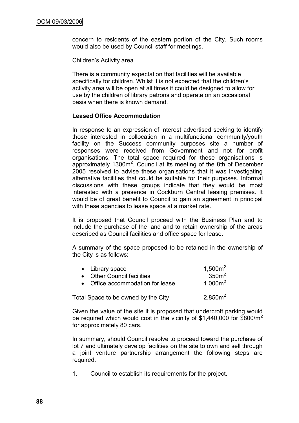concern to residents of the eastern portion of the City. Such rooms would also be used by Council staff for meetings.

#### Children"s Activity area

There is a community expectation that facilities will be available specifically for children. Whilst it is not expected that the children"s activity area will be open at all times it could be designed to allow for use by the children of library patrons and operate on an occasional basis when there is known demand.

## **Leased Office Accommodation**

In response to an expression of interest advertised seeking to identify those interested in collocation in a multifunctional community/youth facility on the Success community purposes site a number of responses were received from Government and not for profit organisations. The total space required for these organisations is approximately  $1300m^2$ . Council at its meeting of the 8th of December 2005 resolved to advise these organisations that it was investigating alternative facilities that could be suitable for their purposes. Informal discussions with these groups indicate that they would be most interested with a presence in Cockburn Central leasing premises. It would be of great benefit to Council to gain an agreement in principal with these agencies to lease space at a market rate.

It is proposed that Council proceed with the Business Plan and to include the purchase of the land and to retain ownership of the areas described as Council facilities and office space for lease.

A summary of the space proposed to be retained in the ownership of the City is as follows:

| • Library space                  | 1,500m <sup>2</sup> |
|----------------------------------|---------------------|
| • Other Council facilities       | 350m <sup>2</sup>   |
| • Office accommodation for lease | 1,000 $m2$          |
|                                  |                     |

Total Space to be owned by the City  $2.850m^2$ 

Given the value of the site it is proposed that undercroft parking would be required which would cost in the vicinity of  $$1,440,000$  for  $$800/m^2$ for approximately 80 cars.

In summary, should Council resolve to proceed toward the purchase of lot 7 and ultimately develop facilities on the site to own and sell through a joint venture partnership arrangement the following steps are required:

1. Council to establish its requirements for the project.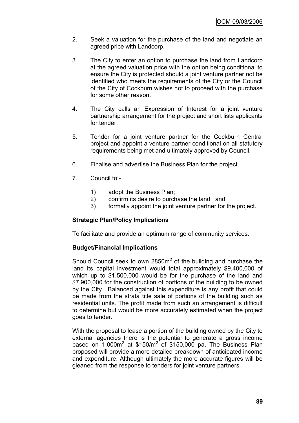- 2. Seek a valuation for the purchase of the land and negotiate an agreed price with Landcorp.
- 3. The City to enter an option to purchase the land from Landcorp at the agreed valuation price with the option being conditional to ensure the City is protected should a joint venture partner not be identified who meets the requirements of the City or the Council of the City of Cockburn wishes not to proceed with the purchase for some other reason.
- 4. The City calls an Expression of Interest for a joint venture partnership arrangement for the project and short lists applicants for tender.
- 5. Tender for a joint venture partner for the Cockburn Central project and appoint a venture partner conditional on all statutory requirements being met and ultimately approved by Council.
- 6. Finalise and advertise the Business Plan for the project.
- 7. Council to:-
	- 1) adopt the Business Plan;
	- 2) confirm its desire to purchase the land; and
	- 3) formally appoint the joint venture partner for the project.

## **Strategic Plan/Policy Implications**

To facilitate and provide an optimum range of community services.

## **Budget/Financial Implications**

Should Council seek to own 2850 $m<sup>2</sup>$  of the building and purchase the land its capital investment would total approximately \$9,400,000 of which up to \$1,500,000 would be for the purchase of the land and \$7,900,000 for the construction of portions of the building to be owned by the City. Balanced against this expenditure is any profit that could be made from the strata title sale of portions of the building such as residential units. The profit made from such an arrangement is difficult to determine but would be more accurately estimated when the project goes to tender.

With the proposal to lease a portion of the building owned by the City to external agencies there is the potential to generate a gross income based on  $1,000m^2$  at \$150/ $m^2$  of \$150,000 pa. The Business Plan proposed will provide a more detailed breakdown of anticipated income and expenditure. Although ultimately the more accurate figures will be gleaned from the response to tenders for joint venture partners.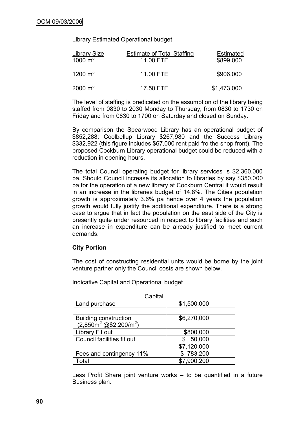Library Estimated Operational budget

| <b>Library Size</b><br>$1000 \text{ m}^2$ | <b>Estimate of Total Staffing</b><br>11.00 FTE | <b>Estimated</b><br>\$899,000 |
|-------------------------------------------|------------------------------------------------|-------------------------------|
| $1200 \text{ m}^2$                        | 11.00 FTE                                      | \$906,000                     |
| $2000 \; \text{m}^2$                      | 17.50 FTE                                      | \$1,473,000                   |

The level of staffing is predicated on the assumption of the library being staffed from 0830 to 2030 Monday to Thursday, from 0830 to 1730 on Friday and from 0830 to 1700 on Saturday and closed on Sunday.

By comparison the Spearwood Library has an operational budget of \$852,288; Coolbellup Library \$267,980 and the Success Library \$332,922 (this figure includes \$67,000 rent paid fro the shop front). The proposed Cockburn Library operational budget could be reduced with a reduction in opening hours.

The total Council operating budget for library services is \$2,360,000 pa. Should Council increase its allocation to libraries by say \$350,000 pa for the operation of a new library at Cockburn Central it would result in an increase in the libraries budget of 14.8%. The Cities population growth is approximately 3.6% pa hence over 4 years the population growth would fully justify the additional expenditure. There is a strong case to argue that in fact the population on the east side of the City is presently quite under resourced in respect to library facilities and such an increase in expenditure can be already justified to meet current demands.

## **City Portion**

The cost of constructing residential units would be borne by the joint venture partner only the Council costs are shown below.

| Capital                            |             |  |
|------------------------------------|-------------|--|
| Land purchase                      | \$1,500,000 |  |
|                                    |             |  |
| <b>Building construction</b>       | \$6,270,000 |  |
| $(2,850m^2 \text{ @ $2,200/m^2$})$ |             |  |
| Library Fit out                    | \$800,000   |  |
| Council facilities fit out         | 50,000      |  |
|                                    | \$7,120,000 |  |
| Fees and contingency 11%           | \$783,200   |  |
| ⊺otal                              | \$7,900,200 |  |

Indicative Capital and Operational budget

Less Profit Share joint venture works – to be quantified in a future Business plan.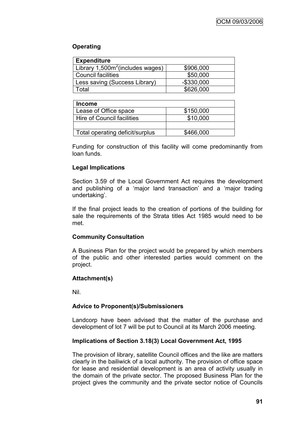# **Operating**

| <b>Expenditure</b>                  |               |
|-------------------------------------|---------------|
| Library $1,500m^2$ (includes wages) | \$906,000     |
| <b>Council facilities</b>           | \$50,000      |
| Less saving (Success Library)       | $-$ \$330,000 |
| Гоtal                               | \$626,000     |

| <b>Income</b>                   |           |
|---------------------------------|-----------|
| Lease of Office space           | \$150,000 |
| Hire of Council facilities      | \$10,000  |
|                                 |           |
| Total operating deficit/surplus | \$466,000 |

Funding for construction of this facility will come predominantly from loan funds.

# **Legal Implications**

Section 3.59 of the Local Government Act requires the development and publishing of a "major land transaction" and a "major trading undertaking'.

If the final project leads to the creation of portions of the building for sale the requirements of the Strata titles Act 1985 would need to be met.

# **Community Consultation**

A Business Plan for the project would be prepared by which members of the public and other interested parties would comment on the project.

# **Attachment(s)**

Nil.

# **Advice to Proponent(s)/Submissioners**

Landcorp have been advised that the matter of the purchase and development of lot 7 will be put to Council at its March 2006 meeting.

# **Implications of Section 3.18(3) Local Government Act, 1995**

The provision of library, satellite Council offices and the like are matters clearly in the bailiwick of a local authority. The provision of office space for lease and residential development is an area of activity usually in the domain of the private sector. The proposed Business Plan for the project gives the community and the private sector notice of Councils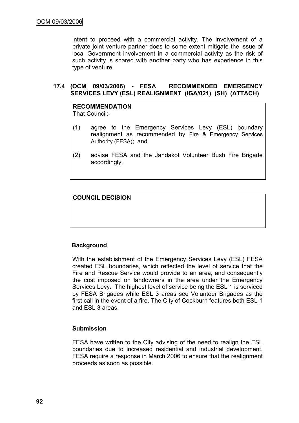intent to proceed with a commercial activity. The involvement of a private joint venture partner does to some extent mitigate the issue of local Government involvement in a commercial activity as the risk of such activity is shared with another party who has experience in this type of venture.

## **17.4 (OCM 09/03/2006) - FESA RECOMMENDED EMERGENCY SERVICES LEVY (ESL) REALIGNMENT (IGA/021) (SH) (ATTACH)**

**RECOMMENDATION** That Council:-

- (1) agree to the Emergency Services Levy (ESL) boundary realignment as recommended by Fire & Emergency Services Authority (FESA); and
- (2) advise FESA and the Jandakot Volunteer Bush Fire Brigade accordingly.

**COUNCIL DECISION**

## **Background**

With the establishment of the Emergency Services Levy (ESL) FESA created ESL boundaries, which reflected the level of service that the Fire and Rescue Service would provide to an area, and consequently the cost imposed on landowners in the area under the Emergency Services Levy. The highest level of service being the ESL 1 is serviced by FESA Brigades while ESL 3 areas see Volunteer Brigades as the first call in the event of a fire. The City of Cockburn features both ESL 1 and ESL 3 areas.

#### **Submission**

FESA have written to the City advising of the need to realign the ESL boundaries due to increased residential and industrial development. FESA require a response in March 2006 to ensure that the realignment proceeds as soon as possible.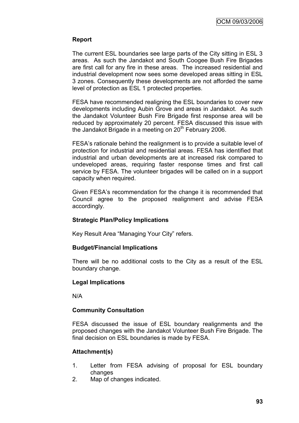## **Report**

The current ESL boundaries see large parts of the City sitting in ESL 3 areas. As such the Jandakot and South Coogee Bush Fire Brigades are first call for any fire in these areas. The increased residential and industrial development now sees some developed areas sitting in ESL 3 zones. Consequently these developments are not afforded the same level of protection as ESL 1 protected properties.

FESA have recommended realigning the ESL boundaries to cover new developments including Aubin Grove and areas in Jandakot. As such the Jandakot Volunteer Bush Fire Brigade first response area will be reduced by approximately 20 percent. FESA discussed this issue with the Jandakot Brigade in a meeting on  $20<sup>th</sup>$  February 2006.

FESA"s rationale behind the realignment is to provide a suitable level of protection for industrial and residential areas. FESA has identified that industrial and urban developments are at increased risk compared to undeveloped areas, requiring faster response times and first call service by FESA. The volunteer brigades will be called on in a support capacity when required.

Given FESA"s recommendation for the change it is recommended that Council agree to the proposed realignment and advise FESA accordingly.

## **Strategic Plan/Policy Implications**

Key Result Area "Managing Your City" refers.

## **Budget/Financial Implications**

There will be no additional costs to the City as a result of the ESL boundary change.

## **Legal Implications**

N/A

# **Community Consultation**

FESA discussed the issue of ESL boundary realignments and the proposed changes with the Jandakot Volunteer Bush Fire Brigade. The final decision on ESL boundaries is made by FESA.

# **Attachment(s)**

- 1. Letter from FESA advising of proposal for ESL boundary changes
- 2. Map of changes indicated.